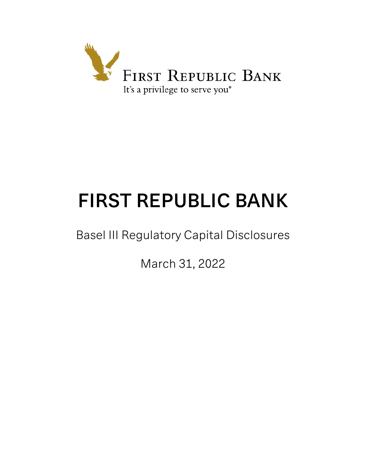

# FIRST REPUBLIC BANK

# Basel III Regulatory Capital Disclosures

March 31, 2022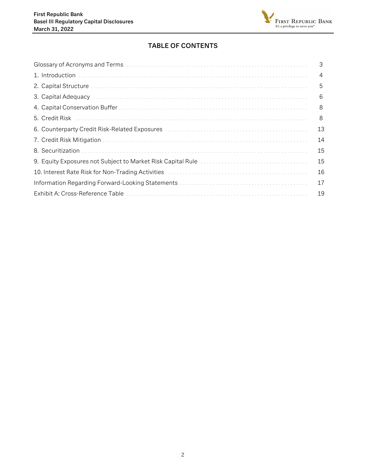

# TABLE OF CONTENTS

| 3              |
|----------------|
| $\overline{4}$ |
| 5              |
| 6              |
| 8              |
| 8              |
| 13             |
| 14             |
| 15             |
| 15             |
| 16             |
| 17             |
| 19             |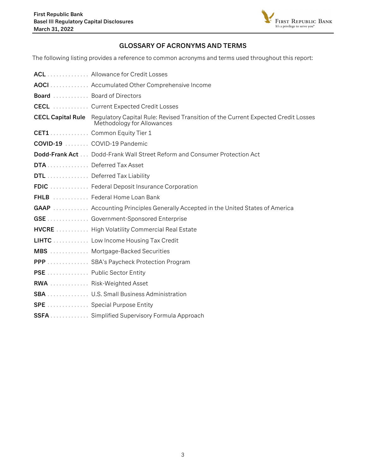

# GLOSSARY OF ACRONYMS AND TERMS

<span id="page-2-0"></span>The following listing provides a reference to common acronyms and terms used throughout this report:

|                           | ACL Allowance for Credit Losses                                                                                                          |
|---------------------------|------------------------------------------------------------------------------------------------------------------------------------------|
|                           | AOCI Accumulated Other Comprehensive Income                                                                                              |
| Board  Board of Directors |                                                                                                                                          |
|                           | CECL  Current Expected Credit Losses                                                                                                     |
|                           | <b>CECL Capital Rule</b> Regulatory Capital Rule: Revised Transition of the Current Expected Credit Losses<br>Methodology for Allowances |
|                           | CET1 Common Equity Tier 1                                                                                                                |
|                           | COVID-19  COVID-19 Pandemic                                                                                                              |
|                           | Dodd-Frank Act Dodd-Frank Wall Street Reform and Consumer Protection Act                                                                 |
| DTA  Deferred Tax Asset   |                                                                                                                                          |
|                           | DTL  Deferred Tax Liability                                                                                                              |
|                           | <b>FDIC</b> Federal Deposit Insurance Corporation                                                                                        |
|                           | FHLB  Federal Home Loan Bank                                                                                                             |
|                           | <b>GAAP</b> Accounting Principles Generally Accepted in the United States of America                                                     |
|                           | GSE  Government-Sponsored Enterprise                                                                                                     |
|                           | <b>HVCRE</b> High Volatility Commercial Real Estate                                                                                      |
|                           | LIHTC Low Income Housing Tax Credit                                                                                                      |
|                           | <b>MBS</b> Mortgage-Backed Securities                                                                                                    |
|                           | PPP  SBA's Paycheck Protection Program                                                                                                   |
| PSE  Public Sector Entity |                                                                                                                                          |
|                           | RWA  Risk-Weighted Asset                                                                                                                 |
|                           | SBA  U.S. Small Business Administration                                                                                                  |
|                           | <b>SPE</b> Special Purpose Entity                                                                                                        |
|                           | SSFA Simplified Supervisory Formula Approach                                                                                             |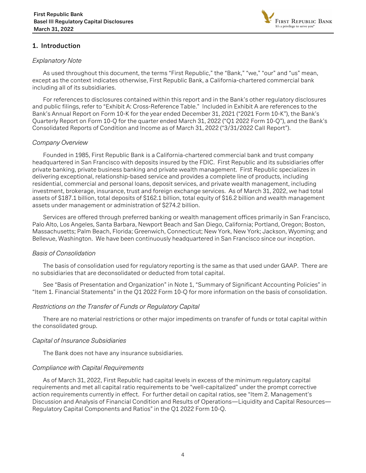

# <span id="page-3-0"></span>1. Introduction

# Explanatory Note

As used throughout this document, the terms "First Republic," the "Bank," "we," "our" and "us" mean, except as the context indicates otherwise, First Republic Bank, a California-chartered commercial bank including all of its subsidiaries.

For references to disclosures contained within this report and in the Bank's other regulatory disclosures and public filings, refer to "Exhibit A: Cross-Reference Table." Included in Exhibit A are references to the Bank's Annual Report on Form 10-K for the year ended December 31, 2021 ("2021 Form 10-K"), the Bank's Quarterly Report on Form 10-Q for the quarter ended March 31, 2022 ("Q1 2022 Form 10-Q"), and the Bank's Consolidated Reports of Condition and Income as of March 31, 2022 ("3/31/2022 Call Report").

# Company Overview

Founded in 1985, First Republic Bank is a California-chartered commercial bank and trust company headquartered in San Francisco with deposits insured by the FDIC. First Republic and its subsidiaries offer private banking, private business banking and private wealth management. First Republic specializes in delivering exceptional, relationship-based service and provides a complete line of products, including residential, commercial and personal loans, deposit services, and private wealth management, including investment, brokerage, insurance, trust and foreign exchange services. As of March 31, 2022, we had total assets of \$187.1 billion, total deposits of \$162.1 billion, total equity of \$16.2 billion and wealth management assets under management or administration of \$274.2 billion.

Services are offered through preferred banking or wealth management offices primarily in San Francisco, Palo Alto, Los Angeles, Santa Barbara, Newport Beach and San Diego, California; Portland, Oregon; Boston, Massachusetts; Palm Beach, Florida; Greenwich, Connecticut; New York, New York; Jackson, Wyoming; and Bellevue, Washington. We have been continuously headquartered in San Francisco since our inception.

# Basis of Consolidation

The basis of consolidation used for regulatory reporting is the same as that used under GAAP. There are no subsidiaries that are deconsolidated or deducted from total capital.

See "Basis of Presentation and Organization" in Note 1, "Summary of Significant Accounting Policies" in "Item 1. Financial Statements" in the Q1 2022 Form 10-Q for more information on the basis of consolidation.

# Restrictions on the Transfer of Funds or Regulatory Capital

There are no material restrictions or other major impediments on transfer of funds or total capital within the consolidated group.

# Capital of Insurance Subsidiaries

The Bank does not have any insurance subsidiaries.

# Compliance with Capital Requirements

As of March 31, 2022, First Republic had capital levels in excess of the minimum regulatory capital requirements and met all capital ratio requirements to be "well-capitalized" under the prompt corrective action requirements currently in effect. For further detail on capital ratios, see "Item 2. Management's Discussion and Analysis of Financial Condition and Results of Operations—Liquidity and Capital Resources— Regulatory Capital Components and Ratios" in the Q1 2022 Form 10-Q.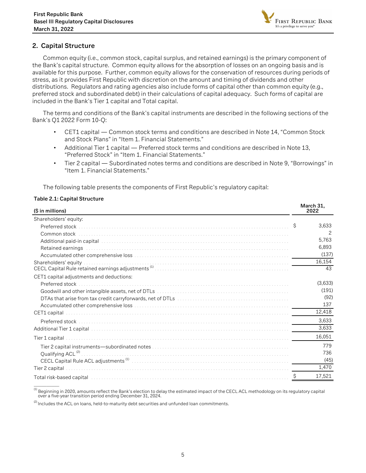

# <span id="page-4-0"></span>2. Capital Structure

Common equity (i.e., common stock, capital surplus, and retained earnings) is the primary component of the Bank's capital structure. Common equity allows for the absorption of losses on an ongoing basis and is available for this purpose. Further, common equity allows for the conservation of resources during periods of stress, as it provides First Republic with discretion on the amount and timing of dividends and other distributions. Regulators and rating agencies also include forms of capital other than common equity (e.g., preferred stock and subordinated debt) in their calculations of capital adequacy. Such forms of capital are included in the Bank's Tier 1 capital and Total capital.

The terms and conditions of the Bank's capital instruments are described in the following sections of the Bank's Q1 2022 Form 10-Q:

- CET1 capital Common stock terms and conditions are described in Note 14, "Common Stock and Stock Plans" in "Item 1. Financial Statements."
- Additional Tier 1 capital Preferred stock terms and conditions are described in Note 13, "Preferred Stock" in "Item 1. Financial Statements."
- Tier 2 capital Subordinated notes terms and conditions are described in Note 9, "Borrowings" in "Item 1. Financial Statements."

The following table presents the components of First Republic's regulatory capital:

#### Table 2.1: Capital Structure

 $\overline{\phantom{a}}$ 

| (\$ in millions)                                                                                               |    | March 31,<br>2022 |
|----------------------------------------------------------------------------------------------------------------|----|-------------------|
| Shareholders' equity:                                                                                          |    |                   |
| Preferred stock                                                                                                | Ŝ. | 3,633             |
| Common stock                                                                                                   |    | 2                 |
| Additional paid-in capital experience in the contract of the contract of the contract of the contract of the c |    | 5.763             |
| Retained earnings                                                                                              |    | 6,893             |
|                                                                                                                |    | (137)             |
| Shareholders' equity                                                                                           |    | 16,154            |
|                                                                                                                |    | 43                |
| CET1 capital adjustments and deductions:                                                                       |    |                   |
| Preferred stock                                                                                                |    | (3,633)           |
|                                                                                                                |    | (191)             |
|                                                                                                                |    | (92)              |
|                                                                                                                |    | 137               |
| CET1 capital                                                                                                   |    | 12,418            |
| Preferred stock                                                                                                |    | 3,633             |
|                                                                                                                |    | 3,633             |
| Tier 1 capital                                                                                                 |    | 16,051            |
|                                                                                                                |    | 779               |
| Qualifying ACL <sup>(2)</sup>                                                                                  |    | 736               |
|                                                                                                                |    | (45)              |
| Tier 2 capital                                                                                                 |    | 1,470             |
| Total risk-based capital with continuum control to the capital control of the control of the control of the co |    | 17,521            |

 $^{(1)}$  Beginning in 2020, amounts reflect the Bank's election to delay the estimated impact of the CECL ACL methodology on its regulatory capital over a five-year transition period ending December 31, 2024.

 $^{(2)}$  Includes the ACL on loans, held-to-maturity debt securities and unfunded loan commitments.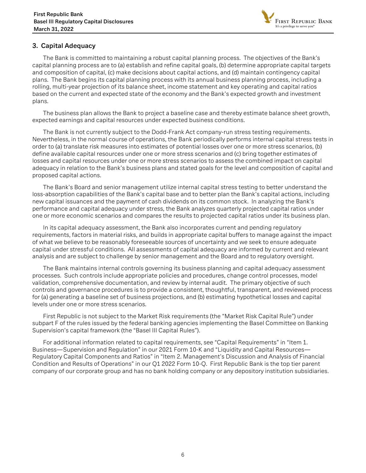

# <span id="page-5-0"></span>3. Capital Adequacy

The Bank is committed to maintaining a robust capital planning process. The objectives of the Bank's capital planning process are to (a) establish and refine capital goals, (b) determine appropriate capital targets and composition of capital, (c) make decisions about capital actions, and (d) maintain contingency capital plans. The Bank begins its capital planning process with its annual business planning process, including a rolling, multi-year projection of its balance sheet, income statement and key operating and capital ratios based on the current and expected state of the economy and the Bank's expected growth and investment plans.

The business plan allows the Bank to project a baseline case and thereby estimate balance sheet growth, expected earnings and capital resources under expected business conditions.

The Bank is not currently subject to the Dodd-Frank Act company-run stress testing requirements. Nevertheless, in the normal course of operations, the Bank periodically performs internal capital stress tests in order to (a) translate risk measures into estimates of potential losses over one or more stress scenarios, (b) define available capital resources under one or more stress scenarios and (c) bring together estimates of losses and capital resources under one or more stress scenarios to assess the combined impact on capital adequacy in relation to the Bank's business plans and stated goals for the level and composition of capital and proposed capital actions.

The Bank's Board and senior management utilize internal capital stress testing to better understand the loss-absorption capabilities of the Bank's capital base and to better plan the Bank's capital actions, including new capital issuances and the payment of cash dividends on its common stock. In analyzing the Bank's performance and capital adequacy under stress, the Bank analyzes quarterly projected capital ratios under one or more economic scenarios and compares the results to projected capital ratios under its business plan.

In its capital adequacy assessment, the Bank also incorporates current and pending regulatory requirements, factors in material risks, and builds in appropriate capital buffers to manage against the impact of what we believe to be reasonably foreseeable sources of uncertainty and we seek to ensure adequate capital under stressful conditions. All assessments of capital adequacy are informed by current and relevant analysis and are subject to challenge by senior management and the Board and to regulatory oversight.

The Bank maintains internal controls governing its business planning and capital adequacy assessment processes. Such controls include appropriate policies and procedures, change control processes, model validation, comprehensive documentation, and review by internal audit. The primary objective of such controls and governance procedures is to provide a consistent, thoughtful, transparent, and reviewed process for (a) generating a baseline set of business projections, and (b) estimating hypothetical losses and capital levels under one or more stress scenarios.

First Republic is not subject to the Market Risk requirements (the "Market Risk Capital Rule") under subpart F of the rules issued by the federal banking agencies implementing the Basel Committee on Banking Supervision's capital framework (the "Basel III Capital Rules").

For additional information related to capital requirements, see "Capital Requirements" in "Item 1. Business—Supervision and Regulation" in our 2021 Form 10-K and "Liquidity and Capital Resources— Regulatory Capital Components and Ratios" in "Item 2. Management's Discussion and Analysis of Financial Condition and Results of Operations" in our Q1 2022 Form 10-Q. First Republic Bank is the top tier parent company of our corporate group and has no bank holding company or any depository institution subsidiaries.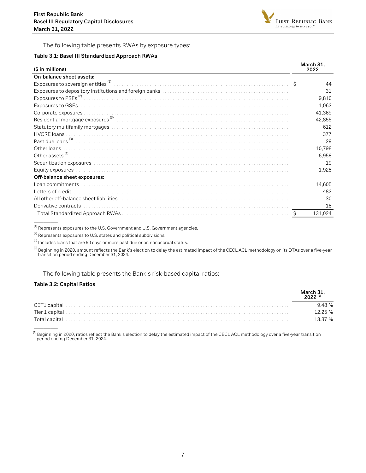

The following table presents RWAs by exposure types:

#### Table 3.1: Basel III Standardized Approach RWAs

| (\$ in millions)                                                                                                                  |    | March 31,<br>2022 |
|-----------------------------------------------------------------------------------------------------------------------------------|----|-------------------|
| On-balance sheet assets:                                                                                                          |    |                   |
| Exposures to sovereign entities <sup>(1)</sup>                                                                                    | Ŝ. | 44                |
| Exposures to depository institutions and foreign banks<br>exposures to depository institutions and foreign banks<br>$\frac{1}{2}$ |    | 31                |
|                                                                                                                                   |    | 9,810             |
| Exposures to GSEs                                                                                                                 |    | 1,062             |
| Corporate exposures                                                                                                               |    | 41,369            |
|                                                                                                                                   |    | 42,855            |
|                                                                                                                                   |    | 612               |
| <b>HVCRE</b> loans                                                                                                                |    | 377               |
|                                                                                                                                   |    | 29                |
| Other loans                                                                                                                       |    | 10,798            |
|                                                                                                                                   |    | 6,958             |
| Securitization exposures with an accountant control of the securities of the securitization exposures with a s                    |    | 19                |
|                                                                                                                                   |    | 1,925             |
| Off-balance sheet exposures:                                                                                                      |    |                   |
|                                                                                                                                   |    | 14,605            |
| Letters of credit                                                                                                                 |    | 482               |
|                                                                                                                                   |    | 30                |
| Derivative contracts                                                                                                              |    | 18                |
|                                                                                                                                   |    | 131,024           |

 $^{\text{\tiny{(1)}}}$  Represents exposures to the U.S. Government and U.S. Government agencies.

 $^{(2)}$  Represents exposures to U.S. states and political subdivisions.

 $^{(3)}$  Includes loans that are 90 days or more past due or on nonaccrual status.

<sup>(4)</sup> Beginning in 2020, amount reflects the Bank's election to delay the estimated impact of the CECL ACL methodology on its DTAs over a five-year<br>transition period ending December 31, 2024.

The following table presents the Bank's risk-based capital ratios:

#### Table 3.2: Capital Ratios

 $\overline{\phantom{a}}$ 

 $\mathcal{L}$ 

| CET1 capital    | 9.48%   |
|-----------------|---------|
| Tier 1 capital. | 12.25 % |
| Total capital   | 13.37 % |

 $^{(1)}$  Beginning in 2020, ratios reflect the Bank's election to delay the estimated impact of the CECL ACL methodology over a five-year transition period ending December 31, 2024.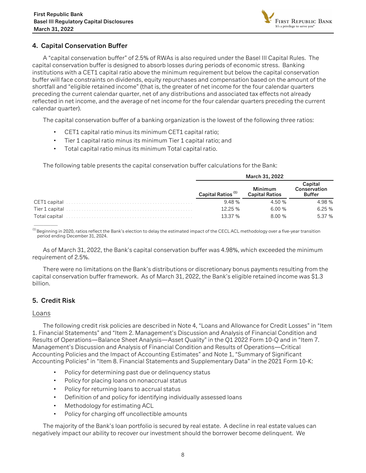

# <span id="page-7-0"></span>4. Capital Conservation Buffer

A "capital conservation buffer" of 2.5% of RWAs is also required under the Basel III Capital Rules. The capital conservation buffer is designed to absorb losses during periods of economic stress. Banking institutions with a CET1 capital ratio above the minimum requirement but below the capital conservation buffer will face constraints on dividends, equity repurchases and compensation based on the amount of the shortfall and "eligible retained income" (that is, the greater of net income for the four calendar quarters preceding the current calendar quarter, net of any distributions and associated tax effects not already reflected in net income, and the average of net income for the four calendar quarters preceding the current calendar quarter).

The capital conservation buffer of a banking organization is the lowest of the following three ratios:

- CET1 capital ratio minus its minimum CET1 capital ratio;
- Tier 1 capital ratio minus its minimum Tier 1 capital ratio; and
- Total capital ratio minus its minimum Total capital ratio.

The following table presents the capital conservation buffer calculations for the Bank:

|                |                               | March 31, 2022                   |                                          |
|----------------|-------------------------------|----------------------------------|------------------------------------------|
|                | Capital Ratios <sup>(1)</sup> | Minimum<br><b>Capital Ratios</b> | Capital<br>Conservation<br><b>Buffer</b> |
|                | 9.48%                         | 4.50 $%$                         | 4.98%                                    |
| Tier 1 capital | 12.25%                        | 6.00 %                           | 6.25%                                    |
| Total capital  | 13.37%                        | 8.00 %                           | 5.37 %                                   |

 $^{\text{\tiny{(1)}}}$ Beginning in 2020, ratios reflect the Bank's election to delay the estimated impact of the CECL ACL methodology over a five-year transition period ending December 31, 2024.

As of March 31, 2022, the Bank's capital conservation buffer was 4.98%, which exceeded the minimum requirement of 2.5%.

There were no limitations on the Bank's distributions or discretionary bonus payments resulting from the capital conservation buffer framework. As of March 31, 2022, the Bank's eligible retained income was \$1.3 billion.

# 5. Credit Risk

# Loans

 $\mathcal{L}$ 

The following credit risk policies are described in Note 4, "Loans and Allowance for Credit Losses" in "Item 1. Financial Statements" and "Item 2. Management's Discussion and Analysis of Financial Condition and Results of Operations—Balance Sheet Analysis—Asset Quality" in the Q1 2022 Form 10-Q and in "Item 7. Management's Discussion and Analysis of Financial Condition and Results of Operations—Critical Accounting Policies and the Impact of Accounting Estimates" and Note 1, "Summary of Significant Accounting Policies" in "Item 8. Financial Statements and Supplementary Data" in the 2021 Form 10-K:

- Policy for determining past due or delinquency status
- Policy for placing loans on nonaccrual status
- Policy for returning loans to accrual status
- Definition of and policy for identifying individually assessed loans
- Methodology for estimating ACL
- Policy for charging off uncollectible amounts

The majority of the Bank's loan portfolio is secured by real estate. A decline in real estate values can negatively impact our ability to recover our investment should the borrower become delinquent. We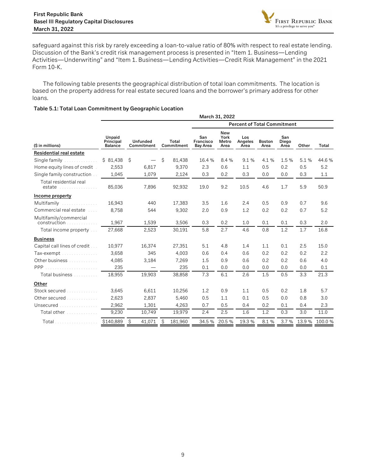

safeguard against this risk by rarely exceeding a loan-to-value ratio of 80% with respect to real estate lending. Discussion of the Bank's credit risk management process is presented in "Item 1. Business—Lending Activities—Underwriting" and "Item 1. Business—Lending Activities—Credit Risk Management" in the 2021 Form 10-K.

The following table presents the geographical distribution of total loan commitments. The location is based on the property address for real estate secured loans and the borrower's primary address for other loans.

#### Table 5.1: Total Loan Commitment by Geographic Location

|                                        |                                |                               |   |                     |                                     | March 31, 2022                      |                                    |                       |                      |       |                      |
|----------------------------------------|--------------------------------|-------------------------------|---|---------------------|-------------------------------------|-------------------------------------|------------------------------------|-----------------------|----------------------|-------|----------------------|
|                                        |                                |                               |   |                     |                                     |                                     | <b>Percent of Total Commitment</b> |                       |                      |       |                      |
| (\$ in millions)                       | Unpaid<br>Principal<br>Balance | <b>Unfunded</b><br>Commitment |   | Total<br>Commitment | San<br>Francisco<br><b>Bay Area</b> | <b>New</b><br>York<br>Metro<br>Area | Los<br>Angeles<br>Area             | <b>Boston</b><br>Area | San<br>Diego<br>Area | Other | Total                |
| Residential real estate                |                                |                               |   |                     |                                     |                                     |                                    |                       |                      |       |                      |
| Single family                          | \$81,438                       | \$                            | Ś | 81,438              | 16.4 %                              | 8.4 %                               | 9.1 %                              | 4.1%                  | 1.5 %                | 5.1 % | 44.6 %               |
| Home equity lines of credit.           | 2,553                          | 6,817                         |   | 9,370               | 2.3                                 | 0.6                                 | 1.1                                | 0.5                   | 0.2                  | 0.5   | 5.2                  |
| Single family construction             | 1,045                          | 1,079                         |   | 2,124               | 0.3                                 | 0.2                                 | 0.3                                | 0.0                   | 0.0                  | 0.3   | 1.1                  |
| Total residential real<br>estate<br>.  | 85,036                         | 7,896                         |   | 92,932              | 19.0                                | 9.2                                 | 10.5                               | 4.6                   | 1.7                  | 5.9   | 50.9                 |
| Income property                        |                                |                               |   |                     |                                     |                                     |                                    |                       |                      |       |                      |
| Multifamily<br>.                       | 16,943                         | 440                           |   | 17,383              | 3.5                                 | 1.6                                 | 2.4                                | 0.5                   | 0.9                  | 0.7   | 9.6                  |
| Commercial real estate<br>and and      | 8,758                          | 544                           |   | 9,302               | 2.0                                 | 0.9                                 | 1.2                                | 0.2                   | 0.2                  | 0.7   | 5.2                  |
| Multifamily/commercial<br>construction | 1,967                          | 1,539                         |   | 3,506               | 0.3                                 | 0.2                                 | 1.0                                | 0.1                   | 0.1                  | 0.3   | 2.0                  |
| Total income property                  | 27,668                         | 2,523                         |   | 30,191              | 5.8                                 | 2.7                                 | 4.6                                | 0.8                   | 1.2                  | 1.7   | 16.8                 |
| <b>Business</b>                        |                                |                               |   |                     |                                     |                                     |                                    |                       |                      |       |                      |
| Capital call lines of credit           | 10,977                         | 16,374                        |   | 27,351              | 5.1                                 | 4.8                                 | 1.4                                | 1.1                   | 0.1                  | 2.5   | 15.0                 |
| Tax-exempt<br>.                        | 3,658                          | 345                           |   | 4,003               | 0.6                                 | 0.4                                 | 0.6                                | 0.2                   | 0.2                  | 0.2   | 2.2                  |
| Other business                         | 4,085                          | 3,184                         |   | 7,269               | 1.5                                 | 0.9                                 | 0.6                                | 0.2                   | 0.2                  | 0.6   | 4.0                  |
| <b>PPP</b><br>.                        | 235                            |                               |   | 235                 | 0.1                                 | 0.0                                 | 0.0                                | 0.0                   | 0.0                  | 0.0   | 0.1                  |
| Total business                         | 18,955                         | 19,903                        |   | 38,858              | 7.3                                 | 6.1                                 | 2.6                                | 1.5                   | 0.5                  | 3.3   | 21.3                 |
| Other                                  |                                |                               |   |                     |                                     |                                     |                                    |                       |                      |       |                      |
| Stock secured                          | 3,645                          | 6,611                         |   | 10,256              | 1.2                                 | 0.9                                 | 1.1                                | 0.5                   | 0.2                  | 1.8   | 5.7                  |
| Other secured                          | 2,623                          | 2,837                         |   | 5,460               | 0.5                                 | 1.1                                 | 0.1                                | 0.5                   | 0.0                  | 0.8   | 3.0                  |
| .<br>Unsecured                         | 2,962                          | 1,301                         |   | 4,263               | 0.7                                 | 0.5                                 | 0.4                                | 0.2                   | 0.1                  | 0.4   | 2.3                  |
| Total other entitled and the Total     | 9,230                          | 10,749                        |   | 19,979              | 2.4                                 | 2.5                                 | 1.6                                | 1.2                   | 0.3                  | 3.0   | 11.0                 |
| Total<br>.                             | \$140,889                      | \$<br>41,071                  | Ŝ | 181,960             | 34.5 %                              | 20.5 %                              | 19.3 %                             | 8.1 %                 |                      |       | 3.7 % 13.9 % 100.0 % |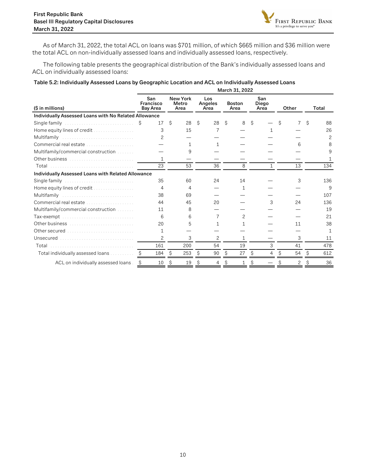

As of March 31, 2022, the total ACL on loans was \$701 million, of which \$665 million and \$36 million were the total ACL on non-individually assessed loans and individually assessed loans, respectively.

The following table presents the geographical distribution of the Bank's individually assessed loans and ACL on individually assessed loans:

#### Table 5.2: Individually Assessed Loans by Geographic Location and ACL on Individually Assessed Loans

|                                                       | March 31, 2022 |                                     |   |                                  |    |                        |   |                       |   |                      |   |       |   |                |
|-------------------------------------------------------|----------------|-------------------------------------|---|----------------------------------|----|------------------------|---|-----------------------|---|----------------------|---|-------|---|----------------|
| (\$ in millions)                                      |                | San<br>Francisco<br><b>Bay Area</b> |   | <b>New York</b><br>Metro<br>Area |    | Los<br>Angeles<br>Area |   | <b>Boston</b><br>Area |   | San<br>Diego<br>Area |   | Other |   | Total          |
| Individually Assessed Loans with No Related Allowance |                |                                     |   |                                  |    |                        |   |                       |   |                      |   |       |   |                |
|                                                       | -S             | 17                                  | Ś | 28                               | Ŝ. | 28                     | Ŝ | 8                     | Ś |                      | Ś |       | Ś | 88             |
| Home equity lines of credit                           |                | 3                                   |   | 15                               |    |                        |   |                       |   |                      |   |       |   | 26             |
| Multifamily                                           |                | $\overline{c}$                      |   |                                  |    |                        |   |                       |   |                      |   |       |   | $\overline{c}$ |
| Commercial real estate                                |                |                                     |   |                                  |    |                        |   |                       |   |                      |   | 6     |   | 8              |
| Multifamily/commercial construction                   |                |                                     |   | 9                                |    |                        |   |                       |   |                      |   |       |   | 9              |
| Other business                                        |                | 1                                   |   |                                  |    |                        |   |                       |   |                      |   |       |   |                |
| Total                                                 |                | 23                                  |   | 53                               |    | 36                     |   | 8                     |   |                      |   | 13    |   | 134            |
| Individually Assessed Loans with Related Allowance    |                |                                     |   |                                  |    |                        |   |                       |   |                      |   |       |   |                |
| Single family                                         |                | 35                                  |   | 60                               |    | 24                     |   | 14                    |   |                      |   | 3     |   | 136            |
| Home equity lines of credit                           |                | 4                                   |   | 4                                |    |                        |   | 1                     |   |                      |   |       |   | 9              |
| Multifamily                                           |                | 38                                  |   | 69                               |    |                        |   |                       |   |                      |   |       |   | 107            |
|                                                       |                | 44                                  |   | 45                               |    | 20                     |   |                       |   | 3                    |   | 24    |   | 136            |
| Multifamily/commercial construction                   |                | 11                                  |   | 8                                |    |                        |   |                       |   |                      |   |       |   | 19             |
| Tax-exempt                                            |                | 6                                   |   | 6                                |    | 7                      |   | 2                     |   |                      |   |       |   | 21             |
|                                                       |                | 20                                  |   | 5                                |    |                        |   |                       |   |                      |   | 11    |   | 38             |
| Other secured                                         |                | 1                                   |   |                                  |    |                        |   |                       |   |                      |   |       |   |                |
| Unsecured                                             |                | 2                                   |   | 3                                |    | 2                      |   | 1                     |   |                      |   | 3     |   | 11             |
| Total                                                 |                | 161                                 |   | 200                              |    | 54                     |   | 19                    |   | 3                    |   | 41    |   | 478            |
| Total individually assessed loans.                    |                | 184                                 | Ŝ | 253                              | \$ | 90                     | Ś | 27                    | Ś | 4                    | S | 54    | Ŝ | 612            |
| ACL on individually assessed loans.                   |                | 10                                  |   | 19                               |    |                        |   |                       |   |                      |   | 2     |   | 36             |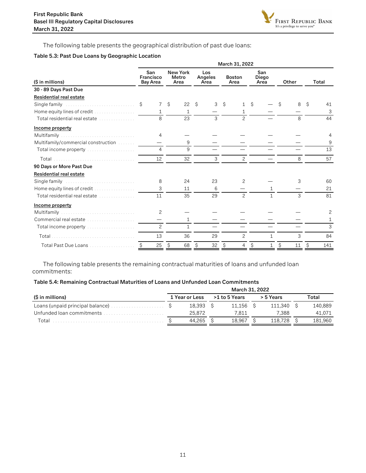

The following table presents the geographical distribution of past due loans:

#### Table 5.3: Past Due Loans by Geographic Location

|                                                        |                                     |                |                                  |              |                               |               |                       | March 31, 2022 |                      |              |       |    |   |       |
|--------------------------------------------------------|-------------------------------------|----------------|----------------------------------|--------------|-------------------------------|---------------|-----------------------|----------------|----------------------|--------------|-------|----|---|-------|
| (\$ in millions)                                       | San<br>Francisco<br><b>Bay Area</b> |                | <b>New York</b><br>Metro<br>Area |              | <b>Los</b><br>Angeles<br>Area |               | <b>Boston</b><br>Area |                | San<br>Diego<br>Area |              | Other |    |   | Total |
| 30 - 89 Days Past Due                                  |                                     |                |                                  |              |                               |               |                       |                |                      |              |       |    |   |       |
| <b>Residential real estate</b>                         |                                     |                |                                  |              |                               |               |                       |                |                      |              |       |    |   |       |
| Single family                                          | S.                                  | $\overline{7}$ | Ŝ.                               | $22 \quad S$ |                               | 3             | - \$                  | $1 \quad$      |                      |              | S     | 8  | S | 41    |
|                                                        |                                     | $\mathbf{1}$   |                                  | -1           |                               |               |                       | 1              |                      |              |       |    |   | 3     |
| Total residential real estate entitled and contact the |                                     | 8              |                                  | 23           |                               | $\mathcal{E}$ |                       | $\overline{c}$ |                      |              |       | 8  |   | 44    |
| Income property                                        |                                     |                |                                  |              |                               |               |                       |                |                      |              |       |    |   |       |
| Multifamily                                            |                                     | 4              |                                  |              |                               |               |                       |                |                      |              |       |    |   | 4     |
| Multifamily/commercial construction                    |                                     |                |                                  | 9            |                               |               |                       |                |                      |              |       |    |   | 9     |
| Total income property                                  |                                     | 4              |                                  | 9            |                               |               |                       |                |                      |              |       |    |   | 13    |
|                                                        |                                     | 12             |                                  | 32           |                               | 3             |                       | $\overline{c}$ |                      |              |       | 8  |   | 57    |
| 90 Days or More Past Due                               |                                     |                |                                  |              |                               |               |                       |                |                      |              |       |    |   |       |
| <b>Residential real estate</b>                         |                                     |                |                                  |              |                               |               |                       |                |                      |              |       |    |   |       |
|                                                        |                                     | 8              |                                  | 24           |                               | 23            |                       | 2              |                      |              |       | 3  |   | 60    |
|                                                        |                                     | 3              |                                  | 11           |                               | 6             |                       |                |                      |              |       |    |   | 21    |
| Total residential real estate entitled and contained   |                                     | 11             |                                  | 35           |                               | 29            |                       | $\overline{c}$ |                      | $\mathbf{1}$ |       | 3  |   | 81    |
| Income property                                        |                                     |                |                                  |              |                               |               |                       |                |                      |              |       |    |   |       |
| Multifamily                                            |                                     | $\overline{c}$ |                                  |              |                               |               |                       |                |                      |              |       |    |   | 2     |
| Commercial real estate                                 |                                     |                |                                  | 1            |                               |               |                       |                |                      |              |       |    |   | 1     |
| Total income property                                  |                                     | $\overline{c}$ |                                  | 1            |                               |               |                       |                |                      |              |       |    |   | 3     |
|                                                        |                                     | 13             |                                  | 36           |                               | 29            |                       | $\overline{c}$ |                      | $\mathbf{1}$ |       | 3  |   | 84    |
| Total Past Due Loans                                   |                                     | 25             | - \$                             | 68           | - Ş                           | 32            | $\ddot{\mathcal{S}}$  | 4              | \$                   |              | \$    | 11 | S | 141   |

The following table presents the remaining contractual maturities of loans and unfunded loan commitments:

#### Table 5.4: Remaining Contractual Maturities of Loans and Unfunded Loan Commitments

|                                                                                                 | <b>March 31, 2022</b> |                |  |               |  |           |  |         |  |  |  |  |  |
|-------------------------------------------------------------------------------------------------|-----------------------|----------------|--|---------------|--|-----------|--|---------|--|--|--|--|--|
| (\$ in millions)                                                                                |                       | 1 Year or Less |  | >1 to 5 Years |  | > 5 Years |  | Total   |  |  |  |  |  |
| Loans (unpaid principal balance) $\ldots$ $\ldots$ $\ldots$ $\ldots$ $\ldots$ $\ddot{\text{S}}$ |                       | 18.393 \$      |  | 11.156        |  | 111.340   |  | 140.889 |  |  |  |  |  |
|                                                                                                 |                       | 25.872         |  | 7.811         |  | 7.388     |  | 41.071  |  |  |  |  |  |
| Total                                                                                           |                       | 44.265         |  | 18.967        |  | 118.728   |  | 181,960 |  |  |  |  |  |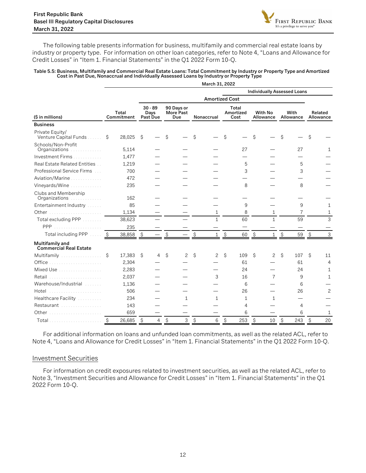The following table presents information for business, multifamily and commercial real estate loans by industry or property type. For information on other loan categories, refer to Note 4, "Loans and Allowance for Credit Losses" in "Item 1. Financial Statements" in the Q1 2022 Form 10-Q.

#### Table 5.5: Business, Multifamily and Commercial Real Estate Loans: Total Commitment by Industry or Property Type and Amortized Cost in Past Due, Nonaccrual and Individually Assessed Loans by Industry or Property Type

|                                                  | March 31, 2022 |                     |                               |                |                                       |                |             |                       |    |                            |                     |                      |                     |                                    |    |                          |  |  |
|--------------------------------------------------|----------------|---------------------|-------------------------------|----------------|---------------------------------------|----------------|-------------|-----------------------|----|----------------------------|---------------------|----------------------|---------------------|------------------------------------|----|--------------------------|--|--|
|                                                  |                |                     |                               |                |                                       |                |             |                       |    |                            |                     |                      |                     | <b>Individually Assessed Loans</b> |    |                          |  |  |
|                                                  |                |                     |                               |                |                                       |                |             | <b>Amortized Cost</b> |    |                            |                     |                      |                     |                                    |    |                          |  |  |
| (\$ in millions)                                 |                | Total<br>Commitment | $30 - 89$<br>Days<br>Past Due |                | 90 Days or<br><b>More Past</b><br>Due |                | Nonaccrual  |                       |    | Total<br>Amortized<br>Cost |                     | With No<br>Allowance |                     | With<br>Allowance                  |    | Related<br>Allowance     |  |  |
| <b>Business</b>                                  |                |                     |                               |                |                                       |                |             |                       |    |                            |                     |                      |                     |                                    |    |                          |  |  |
| Private Equity/<br>Venture Capital Funds         | S              | 28,025              | \$                            |                | Ś                                     |                | Ś           |                       | \$ |                            | Ś                   |                      | \$                  |                                    | \$ |                          |  |  |
| Schools/Non-Profit<br>Organizations<br>.         |                | 5,114               |                               |                |                                       |                |             |                       |    | 27                         |                     |                      |                     | 27                                 |    | 1                        |  |  |
| Investment Firms                                 |                | 1,477               |                               |                |                                       |                |             |                       |    |                            |                     |                      |                     |                                    |    |                          |  |  |
| Real Estate Related Entities                     |                | 1,219               |                               |                |                                       |                |             |                       |    | 5                          |                     |                      |                     | 5                                  |    |                          |  |  |
| Professional Service Firms                       |                | 700                 |                               |                |                                       |                |             |                       |    | 3                          |                     |                      |                     | 3                                  |    |                          |  |  |
| Aviation/Marine                                  |                | 472                 |                               |                |                                       |                |             |                       |    |                            |                     |                      |                     |                                    |    |                          |  |  |
| Vineyards/Wine                                   |                | 235                 |                               |                |                                       |                |             |                       |    | 8                          |                     |                      |                     | 8                                  |    |                          |  |  |
| Clubs and Membership<br>Organizations            |                | 162                 |                               |                |                                       |                |             |                       |    |                            |                     |                      |                     |                                    |    |                          |  |  |
| Entertainment Industry                           |                | 85                  |                               |                |                                       |                |             |                       |    | 9                          |                     |                      |                     | 9                                  |    | 1                        |  |  |
|                                                  |                | 1,134               |                               |                |                                       |                |             | 1                     |    | 8                          |                     | 1                    |                     | $\overline{7}$                     |    | $\mathbf{1}$             |  |  |
| Total excluding PPP                              |                | 38,623              |                               |                |                                       |                |             | $\mathbf{1}$          |    | 60                         |                     | $\mathbf{1}$         |                     | 59                                 |    | $\overline{\mathcal{E}}$ |  |  |
| PPP                                              |                | 235                 |                               |                |                                       |                |             |                       |    |                            |                     |                      |                     |                                    |    |                          |  |  |
| Total including PPP                              | - \$           | 38,858              | \$                            |                | Ŝ                                     |                | Ŝ           |                       | \$ | 60                         | $\hat{\mathcal{S}}$ |                      | $\hat{\mathcal{S}}$ | 59                                 | \$ | 3                        |  |  |
| Multifamily and<br><b>Commercial Real Estate</b> |                |                     |                               |                |                                       |                |             |                       |    |                            |                     |                      |                     |                                    |    |                          |  |  |
| Multifamily                                      | Ŝ              | 17,383              | Ŝ                             | 4              | \$                                    | $\overline{c}$ | \$          | 2                     | \$ | 109                        | Ŝ.                  | 2                    | Ś                   | 107                                | Ŝ. | 11                       |  |  |
| Office                                           |                | 2,304               |                               |                |                                       |                |             |                       |    | 61                         |                     |                      |                     | 61                                 |    | $\overline{4}$           |  |  |
| Mixed Use                                        |                | 2,283               |                               |                |                                       |                |             |                       |    | 24                         |                     |                      |                     | 24                                 |    | 1                        |  |  |
| Retail                                           |                | 2,037               |                               |                |                                       |                |             | 3                     |    | 16                         |                     | $\overline{7}$       |                     | 9                                  |    | $\mathbf{1}$             |  |  |
| Warehouse/Industrial                             |                | 1,136               |                               |                |                                       |                |             |                       |    | 6                          |                     |                      |                     | 6                                  |    |                          |  |  |
| Hotel                                            |                | 506                 |                               |                |                                       |                |             |                       |    | 26                         |                     |                      |                     | 26                                 |    | $\overline{c}$           |  |  |
| Healthcare Facility [11] Healthcare              |                | 234                 |                               |                |                                       | $\mathbf{1}$   |             | $\mathbf{1}$          |    | $\mathbf{1}$               |                     | $\mathbf{1}$         |                     |                                    |    |                          |  |  |
| Restaurant                                       |                | 143                 |                               |                |                                       |                |             |                       |    | 4                          |                     |                      |                     | 4                                  |    |                          |  |  |
|                                                  |                | 659                 |                               |                |                                       |                |             |                       |    | 6                          |                     |                      |                     | 6                                  |    | 1                        |  |  |
|                                                  | Ŝ              | 26,685              | Ŝ                             | $\overline{4}$ | \$                                    | 3              | $\mathsf S$ | 6                     | Ś. | 253                        | Ś                   | 10                   | Ŝ.                  | 243                                | Ŝ. | 20                       |  |  |

For additional information on loans and unfunded loan commitments, as well as the related ACL, refer to Note 4, "Loans and Allowance for Credit Losses" in "Item 1. Financial Statements" in the Q1 2022 Form 10-Q.

# Investment Securities

For information on credit exposures related to investment securities, as well as the related ACL, refer to Note 3, "Investment Securities and Allowance for Credit Losses" in "Item 1. Financial Statements" in the Q1 2022 Form 10-Q.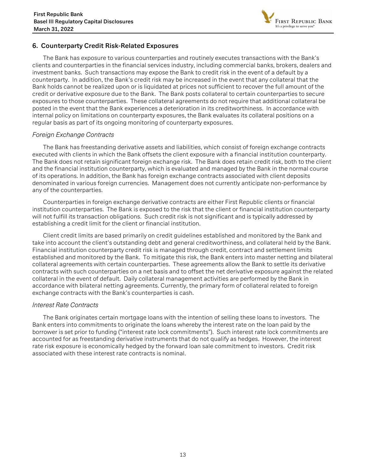

# <span id="page-12-0"></span>6. Counterparty Credit Risk-Related Exposures

The Bank has exposure to various counterparties and routinely executes transactions with the Bank's clients and counterparties in the financial services industry, including commercial banks, brokers, dealers and investment banks. Such transactions may expose the Bank to credit risk in the event of a default by a counterparty. In addition, the Bank's credit risk may be increased in the event that any collateral that the Bank holds cannot be realized upon or is liquidated at prices not sufficient to recover the full amount of the credit or derivative exposure due to the Bank. The Bank posts collateral to certain counterparties to secure exposures to those counterparties. These collateral agreements do not require that additional collateral be posted in the event that the Bank experiences a deterioration in its creditworthiness. In accordance with internal policy on limitations on counterparty exposures, the Bank evaluates its collateral positions on a regular basis as part of its ongoing monitoring of counterparty exposures.

# Foreign Exchange Contracts

The Bank has freestanding derivative assets and liabilities, which consist of foreign exchange contracts executed with clients in which the Bank offsets the client exposure with a financial institution counterparty. The Bank does not retain significant foreign exchange risk. The Bank does retain credit risk, both to the client and the financial institution counterparty, which is evaluated and managed by the Bank in the normal course of its operations. In addition, the Bank has foreign exchange contracts associated with client deposits denominated in various foreign currencies. Management does not currently anticipate non-performance by any of the counterparties.

Counterparties in foreign exchange derivative contracts are either First Republic clients or financial institution counterparties. The Bank is exposed to the risk that the client or financial institution counterparty will not fulfill its transaction obligations. Such credit risk is not significant and is typically addressed by establishing a credit limit for the client or financial institution.

Client credit limits are based primarily on credit guidelines established and monitored by the Bank and take into account the client's outstanding debt and general creditworthiness, and collateral held by the Bank. Financial institution counterparty credit risk is managed through credit, contract and settlement limits established and monitored by the Bank. To mitigate this risk, the Bank enters into master netting and bilateral collateral agreements with certain counterparties. These agreements allow the Bank to settle its derivative contracts with such counterparties on a net basis and to offset the net derivative exposure against the related collateral in the event of default. Daily collateral management activities are performed by the Bank in accordance with bilateral netting agreements. Currently, the primary form of collateral related to foreign exchange contracts with the Bank's counterparties is cash.

# Interest Rate Contracts

The Bank originates certain mortgage loans with the intention of selling these loans to investors. The Bank enters into commitments to originate the loans whereby the interest rate on the loan paid by the borrower is set prior to funding ("interest rate lock commitments"). Such interest rate lock commitments are accounted for as freestanding derivative instruments that do not qualify as hedges. However, the interest rate risk exposure is economically hedged by the forward loan sale commitment to investors. Credit risk associated with these interest rate contracts is nominal.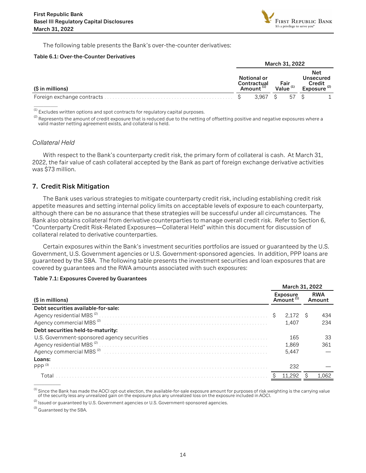

<span id="page-13-0"></span>The following table presents the Bank's over-the-counter derivatives:

#### Table 6.1: Over-the-Counter Derivatives

|                  |                                                     | March 31, 2022               |                                                              |
|------------------|-----------------------------------------------------|------------------------------|--------------------------------------------------------------|
| (\$ in millions) | Notional or<br>Contractual<br>Amount <sup>(1)</sup> | Fair<br>Value <sup>(1)</sup> | <b>Net</b><br>Unsecured<br>Credit<br>Exposure <sup>(2)</sup> |
|                  | 3.967                                               | 57                           |                                                              |

 $<sup>(1)</sup>$  Excludes written options and spot contracts for regulatory capital purposes.</sup>

 $^{(2)}$  Represents the amount of credit exposure that is reduced due to the netting of offsetting positive and negative exposures where a valid master netting agreement exists, and collateral is held.

#### Collateral Held

 $\overline{\phantom{a}}$ 

With respect to the Bank's counterparty credit risk, the primary form of collateral is cash. At March 31, 2022, the fair value of cash collateral accepted by the Bank as part of foreign exchange derivative activities was \$73 million.

#### 7. Credit Risk Mitigation

The Bank uses various strategies to mitigate counterparty credit risk, including establishing credit risk appetite measures and setting internal policy limits on acceptable levels of exposure to each counterparty, although there can be no assurance that these strategies will be successful under all circumstances. The Bank also obtains collateral from derivative counterparties to manage overall credit risk. Refer to Section 6, "Counterparty Credit Risk-Related Exposures—Collateral Held" within this document for discussion of collateral related to derivative counterparties.

Certain exposures within the Bank's investment securities portfolios are issued or guaranteed by the U.S. Government, U.S. Government agencies or U.S. Government-sponsored agencies. In addition, PPP loans are guaranteed by the SBA. The following table presents the investment securities and loan exposures that are covered by guarantees and the RWA amounts associated with such exposures:

#### Table 7.1: Exposures Covered by Guarantees

|                                     | March 31, 2022 |                                          |  |                      |  |
|-------------------------------------|----------------|------------------------------------------|--|----------------------|--|
| (\$ in millions)                    |                | <b>Exposure</b><br>Amount <sup>(1)</sup> |  | <b>RWA</b><br>Amount |  |
| Debt securities available-for-sale: |                |                                          |  |                      |  |
|                                     |                | 2.172 S                                  |  | 434                  |  |
|                                     |                | 1.407                                    |  | 234                  |  |
| Debt securities held-to-maturity:   |                |                                          |  |                      |  |
|                                     |                | 165                                      |  | 33                   |  |
|                                     |                | 1.869                                    |  | 361                  |  |
|                                     |                | 5,447                                    |  |                      |  |
| Loans:                              |                |                                          |  |                      |  |
| PPP $(3)$                           |                | 232                                      |  |                      |  |
| Total                               |                | .292                                     |  |                      |  |
|                                     |                |                                          |  |                      |  |

 $^{(1)}$  Since the Bank has made the AOCI opt-out election, the available-for-sale exposure amount for purposes of risk weighting is the carrying value of the security less any unrealized gain on the exposure plus any unrealized loss on the exposure included in AOCI.

 $^{(2)}$  Issued or guaranteed by U.S. Government agencies or U.S. Government-sponsored agencies.

<sup>(3)</sup> Guaranteed by the SBA.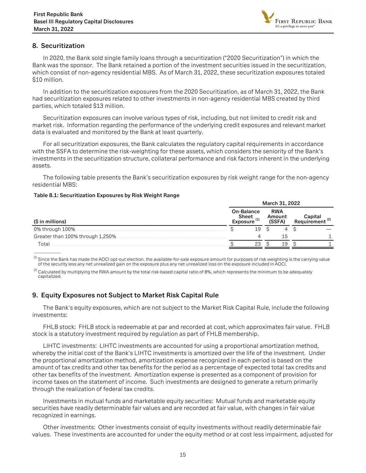

# <span id="page-14-0"></span>8. Securitization

In 2020, the Bank sold single family loans through a securitization ("2020 Securitization") in which the Bank was the sponsor. The Bank retained a portion of the investment securities issued in the securitization, which consist of non-agency residential MBS. As of March 31, 2022, these securitization exposures totaled \$10 million.

In addition to the securitization exposures from the 2020 Securitization, as of March 31, 2022, the Bank had securitization exposures related to other investments in non-agency residential MBS created by third parties, which totaled \$13 million.

Securitization exposures can involve various types of risk, including, but not limited to credit risk and market risk. Information regarding the performance of the underlying credit exposures and relevant market data is evaluated and monitored by the Bank at least quarterly.

For all securitization exposures, the Bank calculates the regulatory capital requirements in accordance with the SSFA to determine the risk-weighting for these assets, which considers the seniority of the Bank's investments in the securitization structure, collateral performance and risk factors inherent in the underlying assets.

The following table presents the Bank's securitization exposures by risk weight range for the non-agency residential MBS:

#### Table 8.1: Securitization Exposures by Risk Weight Range

|                  | March 31, 2022 |                                       |  |                                |  |         |
|------------------|----------------|---------------------------------------|--|--------------------------------|--|---------|
| (\$ in millions) |                | On-Balance<br>Sheet<br>Exposure $(1)$ |  | <b>RWA</b><br>Amount<br>(SSFA) |  | Capital |
|                  |                | 19                                    |  |                                |  |         |
|                  |                |                                       |  | 15                             |  |         |
| Total            |                | 23                                    |  | 19                             |  |         |
|                  |                |                                       |  |                                |  |         |

 $<sup>(1)</sup>$  Since the Bank has made the AOCI opt-out election, the available-for-sale exposure amount for purposes of risk weighting is the carrying value</sup> of the security less any net unrealized gain on the exposure plus any net unrealized loss on the exposure included in AOCI.

 $^{(2)}$  Calculated by multiplying the RWA amount by the total risk-based capital ratio of 8%, which represents the minimum to be adequately capitalized.

# 9. Equity Exposures not Subject to Market Risk Capital Rule

The Bank's equity exposures, which are not subject to the Market Risk Capital Rule, include the following investments:

FHLB stock: FHLB stock is redeemable at par and recorded at cost, which approximates fair value. FHLB stock is a statutory investment required by regulation as part of FHLB membership.

LIHTC investments: LIHTC investments are accounted for using a proportional amortization method, whereby the initial cost of the Bank's LIHTC investments is amortized over the life of the investment. Under the proportional amortization method, amortization expense recognized in each period is based on the amount of tax credits and other tax benefits for the period as a percentage of expected total tax credits and other tax benefits of the investment. Amortization expense is presented as a component of provision for income taxes on the statement of income. Such investments are designed to generate a return primarily through the realization of federal tax credits.

Investments in mutual funds and marketable equity securities: Mutual funds and marketable equity securities have readily determinable fair values and are recorded at fair value, with changes in fair value recognized in earnings.

Other investments: Other investments consist of equity investments without readily determinable fair values. These investments are accounted for under the equity method or at cost less impairment, adjusted for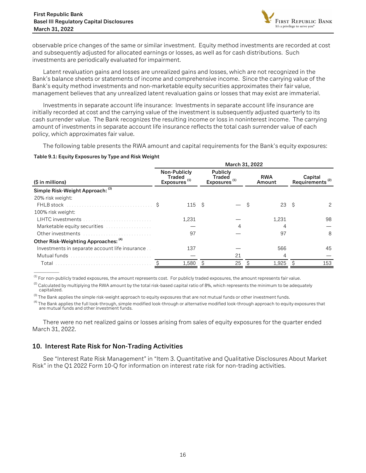

<span id="page-15-0"></span>observable price changes of the same or similar investment. Equity method investments are recorded at cost and subsequently adjusted for allocated earnings or losses, as well as for cash distributions. Such investments are periodically evaluated for impairment.

Latent revaluation gains and losses are unrealized gains and losses, which are not recognized in the Bank's balance sheets or statements of income and comprehensive income. Since the carrying value of the Bank's equity method investments and non-marketable equity securities approximates their fair value, management believes that any unrealized latent revaluation gains or losses that may exist are immaterial.

Investments in separate account life insurance: Investments in separate account life insurance are initially recorded at cost and the carrying value of the investment is subsequently adjusted quarterly to its cash surrender value. The Bank recognizes the resulting income or loss in noninterest income. The carrying amount of investments in separate account life insurance reflects the total cash surrender value of each policy, which approximates fair value.

The following table presents the RWA amount and capital requirements for the Bank's equity exposures:

#### Table 9.1: Equity Exposures by Type and Risk Weight

 $\overline{\phantom{a}}$ 

|                                                 | March 31, 2022 |                                                           |  |                                                              |  |                      |    |                                        |
|-------------------------------------------------|----------------|-----------------------------------------------------------|--|--------------------------------------------------------------|--|----------------------|----|----------------------------------------|
| (\$ in millions)                                |                | Non-Publicly<br><b>Traded</b><br>Exposures <sup>(1)</sup> |  | <b>Publicly</b><br><b>Traded</b><br>Exposures <sup>(1)</sup> |  | <b>RWA</b><br>Amount |    | Capital<br>Requirements <sup>(2)</sup> |
| Simple Risk-Weight Approach: (3)                |                |                                                           |  |                                                              |  |                      |    |                                        |
| 20% risk weight:                                |                |                                                           |  |                                                              |  |                      |    |                                        |
| FHLB stock                                      |                | 115S                                                      |  |                                                              |  | 23                   | -Ŝ | 2                                      |
| 100% risk weight:                               |                |                                                           |  |                                                              |  |                      |    |                                        |
| <b>LIHTC</b> investments                        |                | 1,231                                                     |  |                                                              |  | 1,231                |    | 98                                     |
| Marketable equity securities                    |                |                                                           |  |                                                              |  |                      |    |                                        |
| Other investments                               |                | 97                                                        |  |                                                              |  | 97                   |    | 8                                      |
| Other Risk-Weighting Approaches: (4)            |                |                                                           |  |                                                              |  |                      |    |                                        |
| Investments in separate account life insurance. |                | 137                                                       |  |                                                              |  | 566                  |    | 45                                     |
| Mutual funds                                    |                |                                                           |  | 21                                                           |  | 4                    |    |                                        |
| Total                                           |                | 1,580                                                     |  | 25                                                           |  | 1,925                |    | 153                                    |

 $<sup>(1)</sup>$  For non-publicly traded exposures, the amount represents cost. For publicly traded exposures, the amount represents fair value.</sup>

 $^{(2)}$  Calculated by multiplying the RWA amount by the total risk-based capital ratio of 8%, which represents the minimum to be adequately capitalized.

 $^{(3)}$  The Bank applies the simple risk-weight approach to equity exposures that are not mutual funds or other investment funds.

<sup>(4)</sup> The Bank applies the full look-through, simple modified look-through or alternative modified look-through approach to equity exposures that are mutual funds and other investment funds.

There were no net realized gains or losses arising from sales of equity exposures for the quarter ended March 31, 2022.

# 10. Interest Rate Risk for Non-Trading Activities

See "Interest Rate Risk Management" in "Item 3. Quantitative and Qualitative Disclosures About Market Risk" in the Q1 2022 Form 10-Q for information on interest rate risk for non-trading activities.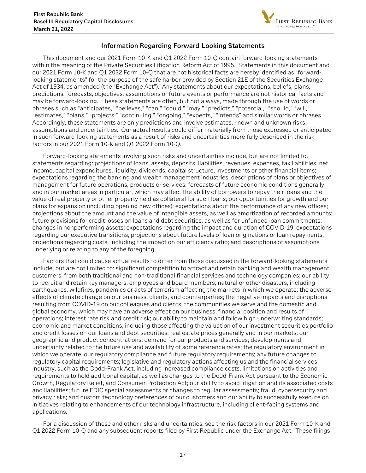

# Information Regarding Forward-Looking Statements

<span id="page-16-0"></span>This document and our 2021 Form 10-K and Q1 2022 Form 10-Q contain forward-looking statements within the meaning of the Private Securities Litigation Reform Act of 1995. Statements in this document and our 2021 Form 10-K and Q1 2022 Form 10-Q that are not historical facts are hereby identified as "forwardlooking statements" for the purpose of the safe harbor provided by Section 21E of the Securities Exchange Act of 1934, as amended (the "Exchange Act"). Any statements about our expectations, beliefs, plans, predictions, forecasts, objectives, assumptions or future events or performance are not historical facts and may be forward-looking. These statements are often, but not always, made through the use of words or phrases such as "anticipates," "believes," "can," "could," "may," "predicts," "potential," "should," "will," "estimates," "plans," "projects," "continuing," "ongoing," "expects," "intends" and similar words or phrases. Accordingly, these statements are only predictions and involve estimates, known and unknown risks, assumptions and uncertainties. Our actual results could differ materially from those expressed or anticipated in such forward-looking statements as a result of risks and uncertainties more fully described in the risk factors in our 2021 Form 10-K and Q1 2022 Form 10-Q.

Forward-looking statements involving such risks and uncertainties include, but are not limited to, statements regarding: projections of loans, assets, deposits, liabilities, revenues, expenses, tax liabilities, net income, capital expenditures, liquidity, dividends, capital structure, investments or other financial items; expectations regarding the banking and wealth management industries; descriptions of plans or objectives of management for future operations, products or services; forecasts of future economic conditions generally and in our market areas in particular, which may affect the ability of borrowers to repay their loans and the value of real property or other property held as collateral for such loans; our opportunities for growth and our plans for expansion (including opening new offices); expectations about the performance of any new offices; projections about the amount and the value of intangible assets, as well as amortization of recorded amounts; future provisions for credit losses on loans and debt securities, as well as for unfunded loan commitments; changes in nonperforming assets; expectations regarding the impact and duration of COVID-19; expectations regarding our executive transitions; projections about future levels of loan originations or loan repayments; projections regarding costs, including the impact on our efficiency ratio; and descriptions of assumptions underlying or relating to any of the foregoing.

Factors that could cause actual results to differ from those discussed in the forward-looking statements include, but are not limited to: significant competition to attract and retain banking and wealth management customers, from both traditional and non-traditional financial services and technology companies; our ability to recruit and retain key managers, employees and board members; natural or other disasters, including earthquakes, wildfires, pandemics or acts of terrorism affecting the markets in which we operate; the adverse effects of climate change on our business, clients, and counterparties; the negative impacts and disruptions resulting from COVID-19 on our colleagues and clients, the communities we serve and the domestic and global economy, which may have an adverse effect on our business, financial position and results of operations; interest rate risk and credit risk; our ability to maintain and follow high underwriting standards; economic and market conditions, including those affecting the valuation of our investment securities portfolio and credit losses on our loans and debt securities; real estate prices generally and in our markets; our geographic and product concentrations; demand for our products and services; developments and uncertainty related to the future use and availability of some reference rates; the regulatory environment in which we operate, our regulatory compliance and future regulatory requirements; any future changes to regulatory capital requirements; legislative and regulatory actions affecting us and the financial services industry, such as the Dodd-Frank Act, including increased compliance costs, limitations on activities and requirements to hold additional capital, as well as changes to the Dodd-Frank Act pursuant to the Economic Growth, Regulatory Relief, and Consumer Protection Act; our ability to avoid litigation and its associated costs and liabilities; future FDIC special assessments or changes to regular assessments; fraud, cybersecurity and privacy risks; and custom technology preferences of our customers and our ability to successfully execute on initiatives relating to enhancements of our technology infrastructure, including client-facing systems and applications.

For a discussion of these and other risks and uncertainties, see the risk factors in our 2021 Form 10-K and Q1 2022 Form 10-Q and any subsequent reports filed by First Republic under the Exchange Act. These filings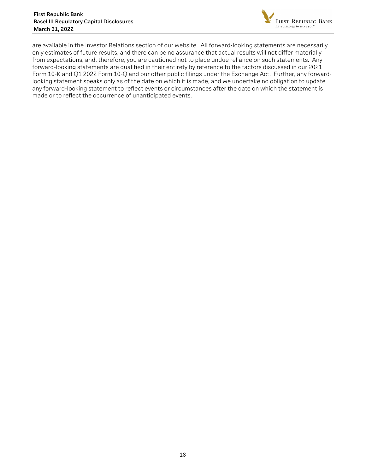

are available in the Investor Relations section of our website. All forward-looking statements are necessarily only estimates of future results, and there can be no assurance that actual results will not differ materially from expectations, and, therefore, you are cautioned not to place undue reliance on such statements. Any forward-looking statements are qualified in their entirety by reference to the factors discussed in our 2021 Form 10-K and Q1 2022 Form 10-Q and our other public filings under the Exchange Act. Further, any forwardlooking statement speaks only as of the date on which it is made, and we undertake no obligation to update any forward-looking statement to reflect events or circumstances after the date on which the statement is made or to reflect the occurrence of unanticipated events.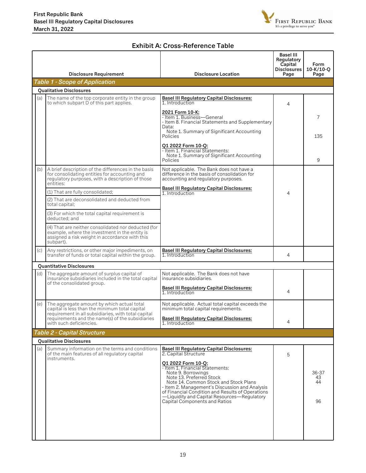

# Exhibit A: Cross-Reference Table

<span id="page-18-0"></span>

|     | <b>Disclosure Requirement</b>                                                                                                                                         | <b>Disclosure Location</b>                                                                                                                                                                                                                                                                                                             | Basel III<br>Regulatory<br>Capital<br><b>Disclosures</b><br>Page | Form<br>$10-K/10-O$<br>Page |
|-----|-----------------------------------------------------------------------------------------------------------------------------------------------------------------------|----------------------------------------------------------------------------------------------------------------------------------------------------------------------------------------------------------------------------------------------------------------------------------------------------------------------------------------|------------------------------------------------------------------|-----------------------------|
|     | <b>Table 1 - Scope of Application</b>                                                                                                                                 |                                                                                                                                                                                                                                                                                                                                        |                                                                  |                             |
|     | <b>Oualitative Disclosures</b>                                                                                                                                        |                                                                                                                                                                                                                                                                                                                                        |                                                                  |                             |
| (a) | The name of the top corporate entity in the group<br>to which subpart D of this part applies.                                                                         | <b>Basel III Regulatory Capital Disclosures:</b><br>1. Introduction                                                                                                                                                                                                                                                                    | 4                                                                |                             |
|     |                                                                                                                                                                       | 2021 Form 10-K:<br>- Item 1. Business-General<br>- Item 8. Financial Statements and Supplementary<br>Data:<br>Note 1. Summary of Significant Accounting                                                                                                                                                                                |                                                                  | 7                           |
|     |                                                                                                                                                                       | Policies<br>Q1 2022 Form 10-Q:<br>- Item 1. Financial Statements:                                                                                                                                                                                                                                                                      |                                                                  | 135                         |
|     |                                                                                                                                                                       | Note 1. Summary of Significant Accounting<br>Policies                                                                                                                                                                                                                                                                                  |                                                                  | 9                           |
| (b) | A brief description of the differences in the basis<br>for consolidating entities for accounting and<br>regulatory purposes, with a description of those<br>entities: | Not applicable. The Bank does not have a<br>difference in the basis of consolidation for<br>accounting and regulatory purposes.                                                                                                                                                                                                        |                                                                  |                             |
|     | (1) That are fully consolidated;                                                                                                                                      | <b>Basel III Regulatory Capital Disclosures:</b><br>1. Introduction                                                                                                                                                                                                                                                                    | 4                                                                |                             |
|     | (2) That are deconsolidated and deducted from<br>total capital;                                                                                                       |                                                                                                                                                                                                                                                                                                                                        |                                                                  |                             |
|     | (3) For which the total capital requirement is<br>deducted: and                                                                                                       |                                                                                                                                                                                                                                                                                                                                        |                                                                  |                             |
|     | (4) That are neither consolidated nor deducted (for<br>example, where the investment in the entity is<br>assigned a risk weight in accordance with this<br>subpart).  |                                                                                                                                                                                                                                                                                                                                        |                                                                  |                             |
| (c) | Any restrictions, or other major impediments, on<br>transfer of funds or total capital within the group.                                                              | <b>Basel III Regulatory Capital Disclosures:</b><br>1. Introduction                                                                                                                                                                                                                                                                    | 4                                                                |                             |
|     | <b>Quantitative Disclosures</b>                                                                                                                                       |                                                                                                                                                                                                                                                                                                                                        |                                                                  |                             |
| (d) | The aggregate amount of surplus capital of<br>insurance subsidiaries included in the total capital<br>of the consolidated group.                                      | Not applicable. The Bank does not have<br>insurance subsidiaries.                                                                                                                                                                                                                                                                      |                                                                  |                             |
|     |                                                                                                                                                                       | <b>Basel III Regulatory Capital Disclosures:</b><br>1. Introduction                                                                                                                                                                                                                                                                    | 4                                                                |                             |
| (e) | The aggregate amount by which actual total<br>capital is less than the minimum total capital<br>requirement in all subsidiaries, with total capital                   | Not applicable. Actual total capital exceeds the<br>minimum total capital requirements.                                                                                                                                                                                                                                                |                                                                  |                             |
|     | requirements and the name(s) of the subsidiaries<br>with such deficiencies.                                                                                           | <b>Basel III Regulatory Capital Disclosures:</b><br>1. Introduction                                                                                                                                                                                                                                                                    | 4                                                                |                             |
|     | <b>Table 2 - Capital Structure</b>                                                                                                                                    |                                                                                                                                                                                                                                                                                                                                        |                                                                  |                             |
|     | <b>Qualitative Disclosures</b>                                                                                                                                        |                                                                                                                                                                                                                                                                                                                                        |                                                                  |                             |
| (a) | Summary information on the terms and conditions<br>of the main features of all regulatory capital<br>instruments.                                                     | <b>Basel III Regulatory Capital Disclosures:</b><br>2. Capital Structure                                                                                                                                                                                                                                                               | 5                                                                |                             |
|     |                                                                                                                                                                       | Q1 2022 Form 10-Q:<br>- Item 1. Financial Statements:<br>Note 9. Borrowings<br>Note 13. Preferred Stock<br>Note 14. Common Stock and Stock Plans<br>- Item 2. Management's Discussion and Analysis<br>of Financial Condition and Results of Operations<br>-Liquidity and Capital Resources-Regulatory<br>Capital Components and Ratios |                                                                  | 36-37<br>43<br>44<br>96     |
|     |                                                                                                                                                                       |                                                                                                                                                                                                                                                                                                                                        |                                                                  |                             |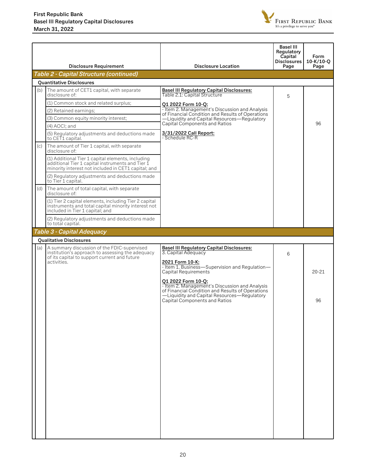

|     | <b>Disclosure Requirement</b>                                                                                                                                | <b>Disclosure Location</b>                                                                                                                                              | Basel III<br>Regulatory<br>Capital<br><b>Disclosures</b><br>Page | Form<br>10-K/10-Q<br>Page |
|-----|--------------------------------------------------------------------------------------------------------------------------------------------------------------|-------------------------------------------------------------------------------------------------------------------------------------------------------------------------|------------------------------------------------------------------|---------------------------|
|     | <b>Table 2 - Capital Structure (continued)</b>                                                                                                               |                                                                                                                                                                         |                                                                  |                           |
|     | <b>Ouantitative Disclosures</b>                                                                                                                              |                                                                                                                                                                         |                                                                  |                           |
| (b) | The amount of CET1 capital, with separate<br>disclosure of:                                                                                                  | <b>Basel III Regulatory Capital Disclosures:</b><br>Table 2.1: Capital Structure                                                                                        | 5                                                                |                           |
|     | (1) Common stock and related surplus;                                                                                                                        | 01 2022 Form 10-O:                                                                                                                                                      |                                                                  |                           |
|     | (2) Retained earnings;                                                                                                                                       | - Item 2. Management's Discussion and Analysis                                                                                                                          |                                                                  |                           |
|     | (3) Common equity minority interest;                                                                                                                         | of Financial Condition and Results of Operations<br>-Liquidity and Capital Resources-Regulatory                                                                         |                                                                  |                           |
|     | $(4)$ AOCI: and                                                                                                                                              | Capital Components and Ratios                                                                                                                                           |                                                                  | 96                        |
|     | (5) Regulatory adjustments and deductions made<br>to CET1 capital.                                                                                           | 3/31/2022 Call Report:<br>- Schedule RC-R                                                                                                                               |                                                                  |                           |
| (c) | The amount of Tier 1 capital, with separate<br>disclosure of:                                                                                                |                                                                                                                                                                         |                                                                  |                           |
|     | (1) Additional Tier 1 capital elements, including<br>additional Tier 1 capital instruments and Tier 1<br>minority interest not included in CET1 capital; and |                                                                                                                                                                         |                                                                  |                           |
|     | (2) Regulatory adjustments and deductions made<br>to Tier 1 capital.                                                                                         |                                                                                                                                                                         |                                                                  |                           |
| (d) | The amount of total capital, with separate<br>disclosure of:                                                                                                 |                                                                                                                                                                         |                                                                  |                           |
|     | (1) Tier 2 capital elements, including Tier 2 capital<br>instruments and total capital minority interest not<br>included in Tier 1 capital; and              |                                                                                                                                                                         |                                                                  |                           |
|     | (2) Regulatory adjustments and deductions made<br>to total capital.                                                                                          |                                                                                                                                                                         |                                                                  |                           |
|     | Table 3 - Capital Adequacy                                                                                                                                   |                                                                                                                                                                         |                                                                  |                           |
|     | <b>Qualitative Disclosures</b>                                                                                                                               |                                                                                                                                                                         |                                                                  |                           |
| (a) | A summary discussion of the FDIC-supervised<br>institution's approach to assessing the adequacy<br>of its capital to support current and future              | <b>Basel III Regulatory Capital Disclosures:</b><br>3. Capital Adequacy                                                                                                 | 6                                                                |                           |
|     | activities.                                                                                                                                                  | 2021 Form 10-K:<br>- Item 1. Business-Supervision and Regulation-<br><b>Capital Requirements</b>                                                                        |                                                                  | $20 - 21$                 |
|     |                                                                                                                                                              | Q1 2022 Form 10-Q:<br>- Item 2. Management's Discussion and Analysis<br>of Financial Condition and Results of Operations<br>-Liquidity and Capital Resources-Regulatory |                                                                  |                           |
|     |                                                                                                                                                              | Capital Components and Ratios                                                                                                                                           |                                                                  | 96                        |
|     |                                                                                                                                                              |                                                                                                                                                                         |                                                                  |                           |
|     |                                                                                                                                                              |                                                                                                                                                                         |                                                                  |                           |
|     |                                                                                                                                                              |                                                                                                                                                                         |                                                                  |                           |
|     |                                                                                                                                                              |                                                                                                                                                                         |                                                                  |                           |
|     |                                                                                                                                                              |                                                                                                                                                                         |                                                                  |                           |
|     |                                                                                                                                                              |                                                                                                                                                                         |                                                                  |                           |
|     |                                                                                                                                                              |                                                                                                                                                                         |                                                                  |                           |
|     |                                                                                                                                                              |                                                                                                                                                                         |                                                                  |                           |
|     |                                                                                                                                                              |                                                                                                                                                                         |                                                                  |                           |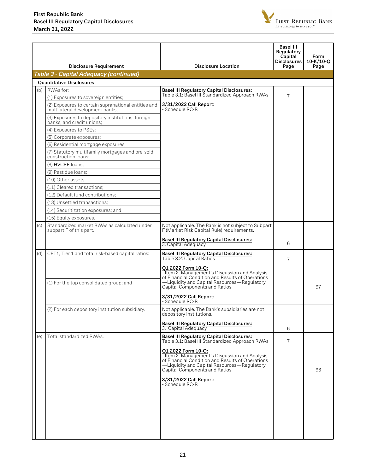

|     | <b>Disclosure Requirement</b>                                                  | <b>Disclosure Location</b>                                                                                                                                                                               | Basel III<br>Regulatory<br>Capital<br><b>Disclosures</b><br>Page | Form<br>$10-K/10-Q$<br>Page |
|-----|--------------------------------------------------------------------------------|----------------------------------------------------------------------------------------------------------------------------------------------------------------------------------------------------------|------------------------------------------------------------------|-----------------------------|
|     | <b>Table 3 - Capital Adequacy (continued)</b>                                  |                                                                                                                                                                                                          |                                                                  |                             |
|     | <b>Quantitative Disclosures</b>                                                |                                                                                                                                                                                                          |                                                                  |                             |
| (b) | RWAs for:                                                                      | <b>Basel III Regulatory Capital Disclosures:</b>                                                                                                                                                         |                                                                  |                             |
|     | (1) Exposures to sovereign entities;                                           | Table 3.1: Basel III Standardized Approach RWAs                                                                                                                                                          | $\overline{7}$                                                   |                             |
|     | (2) Exposures to certain supranational entities and                            | 3/31/2022 Call Report:                                                                                                                                                                                   |                                                                  |                             |
|     | multilateral development banks;                                                | - Schedule RC-R                                                                                                                                                                                          |                                                                  |                             |
|     | (3) Exposures to depository institutions, foreign<br>banks, and credit unions; |                                                                                                                                                                                                          |                                                                  |                             |
|     | (4) Exposures to PSEs;                                                         |                                                                                                                                                                                                          |                                                                  |                             |
|     | (5) Corporate exposures;                                                       |                                                                                                                                                                                                          |                                                                  |                             |
|     | (6) Residential mortgage exposures;                                            |                                                                                                                                                                                                          |                                                                  |                             |
|     | (7) Statutory multifamily mortgages and pre-sold<br>construction loans;        |                                                                                                                                                                                                          |                                                                  |                             |
|     | (8) HVCRE loans;                                                               |                                                                                                                                                                                                          |                                                                  |                             |
|     | (9) Past due loans;                                                            |                                                                                                                                                                                                          |                                                                  |                             |
|     | (10) Other assets;                                                             |                                                                                                                                                                                                          |                                                                  |                             |
|     | (11) Cleared transactions;                                                     |                                                                                                                                                                                                          |                                                                  |                             |
|     | (12) Default fund contributions;                                               |                                                                                                                                                                                                          |                                                                  |                             |
|     | (13) Unsettled transactions;                                                   |                                                                                                                                                                                                          |                                                                  |                             |
|     | (14) Securitization exposures; and                                             |                                                                                                                                                                                                          |                                                                  |                             |
|     | (15) Equity exposures.                                                         |                                                                                                                                                                                                          |                                                                  |                             |
| (c) | Standardized market RWAs as calculated under<br>subpart F of this part.        | Not applicable. The Bank is not subject to Subpart<br>F (Market Risk Capital Rule) requirements.                                                                                                         |                                                                  |                             |
|     |                                                                                | <b>Basel III Regulatory Capital Disclosures:</b><br>3. Capital Adequacy                                                                                                                                  | 6                                                                |                             |
| (d) | CET1, Tier 1 and total risk-based capital ratios:                              | <b>Basel III Regulatory Capital Disclosures:</b><br>Table 3.2: Capital Ratios                                                                                                                            | $\overline{7}$                                                   |                             |
|     |                                                                                | 01 2022 Form 10-O:<br>- Item 2. Management's Discussion and Analysis                                                                                                                                     |                                                                  |                             |
|     | (1) For the top consolidated group; and                                        | of Financial Condition and Results of Operations<br>-Liquidity and Capital Resources-Regulatory                                                                                                          |                                                                  |                             |
|     |                                                                                | Capital Components and Ratios                                                                                                                                                                            |                                                                  | 97                          |
|     |                                                                                | 3/31/2022 Call Report:<br>- Schedule RC-R                                                                                                                                                                |                                                                  |                             |
|     | (2) For each depository institution subsidiary.                                | Not applicable. The Bank's subsidiaries are not<br>depository institutions.                                                                                                                              |                                                                  |                             |
|     |                                                                                | <b>Basel III Requiatory Capital Disclosures:</b><br>3. Capital Adequacy                                                                                                                                  | 6                                                                |                             |
| (e) | Total standardized RWAs.                                                       | <b>Basel III Requiatory Capital Disclosures:</b><br>Table 3.1: Basel III Standardized Approach RWAs                                                                                                      | $\overline{7}$                                                   |                             |
|     |                                                                                | Q1 2022 Form 10-Q:<br>- Item 2. Management's Discussion and Analysis<br>of Financial Condition and Results of Operations<br>-Liquidity and Capital Resources-Regulatory<br>Capital Components and Ratios |                                                                  | 96                          |
|     |                                                                                |                                                                                                                                                                                                          |                                                                  |                             |
|     |                                                                                | 3/31/2022 Call Report:<br>- Schedule RC-R                                                                                                                                                                |                                                                  |                             |
|     |                                                                                |                                                                                                                                                                                                          |                                                                  |                             |
|     |                                                                                |                                                                                                                                                                                                          |                                                                  |                             |
|     |                                                                                |                                                                                                                                                                                                          |                                                                  |                             |
|     |                                                                                |                                                                                                                                                                                                          |                                                                  |                             |
|     |                                                                                |                                                                                                                                                                                                          |                                                                  |                             |
|     |                                                                                |                                                                                                                                                                                                          |                                                                  |                             |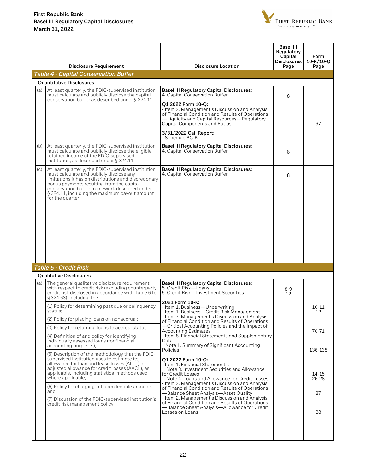

|     | <b>Disclosure Requirement</b>                                                                                                                                                                                                                                                                                               | <b>Disclosure Location</b>                                                                                                                                                                                                         | <b>Basel III</b><br>Regulatory<br>Capital<br><b>Disclosures</b><br>Page | Form<br>$10-K/10-O$<br>Page |
|-----|-----------------------------------------------------------------------------------------------------------------------------------------------------------------------------------------------------------------------------------------------------------------------------------------------------------------------------|------------------------------------------------------------------------------------------------------------------------------------------------------------------------------------------------------------------------------------|-------------------------------------------------------------------------|-----------------------------|
|     | <b>Table 4 - Capital Conservation Buffer</b>                                                                                                                                                                                                                                                                                |                                                                                                                                                                                                                                    |                                                                         |                             |
|     | <b>Quantitative Disclosures</b>                                                                                                                                                                                                                                                                                             |                                                                                                                                                                                                                                    |                                                                         |                             |
| (a) | At least quarterly, the FDIC-supervised institution<br>must calculate and publicly disclose the capital<br>conservation buffer as described under § 324.11.                                                                                                                                                                 | <b>Basel III Regulatory Capital Disclosures:</b><br>4. Capital Conservation Buffer                                                                                                                                                 | 8                                                                       |                             |
|     |                                                                                                                                                                                                                                                                                                                             | 01 2022 Form 10-O:<br>- Item 2. Management's Discussion and Analysis<br>of Financial Condition and Results of Operations<br>-Liquidity and Capital Resources-Regulatory<br>Capital Components and Ratios<br>3/31/2022 Call Report: |                                                                         | 97                          |
|     |                                                                                                                                                                                                                                                                                                                             | - Schedule RC-R                                                                                                                                                                                                                    |                                                                         |                             |
| (b) | At least quarterly, the FDIC-supervised institution<br>must calculate and publicly disclose the eligible<br>retained income of the FDIC-supervised<br>institution, as described under § 324.11.                                                                                                                             | <b>Basel III Regulatory Capital Disclosures:</b><br>4. Capital Conservation Buffer                                                                                                                                                 | 8                                                                       |                             |
| (c) | At least quarterly, the FDIC-supervised institution<br>must calculate and publicly disclose any<br>limitations it has on distributions and discretionary<br>bonus payments resulting from the capital<br>conservation buffer framework described under<br>§ 324.11, including the maximum payout amount<br>for the quarter. | <b>Basel III Regulatory Capital Disclosures:</b><br>4. Capital Conservation Buffer                                                                                                                                                 | 8                                                                       |                             |
|     | <b>Table 5 - Credit Risk</b>                                                                                                                                                                                                                                                                                                |                                                                                                                                                                                                                                    |                                                                         |                             |
|     | <b>Qualitative Disclosures</b>                                                                                                                                                                                                                                                                                              |                                                                                                                                                                                                                                    |                                                                         |                             |
| (a) | The general qualitative disclosure requirement<br>with respect to credit risk (excluding counterparty<br>credit risk disclosed in accordance with Table 6 to<br>§ 324.63), including the:                                                                                                                                   | <b>Basel III Regulatory Capital Disclosures:</b><br>5. Credit Risk-Loans<br>5. Credit Risk-Investment Securities                                                                                                                   | $8 - 9$<br>12                                                           |                             |
|     | (1) Policy for determining past due or delinguency<br>status;<br>(2) Policy for placing loans on nonaccrual;                                                                                                                                                                                                                | 2021 Form 10-K:<br>- Item 1. Business-Underwriting<br>- Item 1. Business-Credit Risk Management<br>- Item 7. Management's Discussion and Analysis                                                                                  |                                                                         | $10 - 11$<br>12             |
|     | (3) Policy for returning loans to accrual status;<br>(4) Definition of and policy for identifying<br>individually assessed loans (for financial                                                                                                                                                                             | of Financial Condition and Results of Operations<br>-Critical Accounting Policies and the Impact of<br><b>Accounting Estimates</b><br>- Item 8. Financial Statements and Supplementary<br>Data:                                    |                                                                         | $70-71$                     |
|     | accounting purposes);<br>(5) Description of the methodology that the FDIC-<br>supervised institution uses to estimate its                                                                                                                                                                                                   | Note 1. Summary of Significant Accounting<br>Policies<br>Q1 2022 Form 10-Q:                                                                                                                                                        |                                                                         | 136-138                     |
|     | allowance for loan and lease losses (ALLL) or<br>adjusted allowance for credit losses (AACL), as<br>applicable, including statistical methods used<br>where applicable;                                                                                                                                                     | - Item 1. Financial Statements:<br>Note 3. Investment Securities and Allowance<br>for Credit Losses<br>Note 4. Loans and Allowance for Credit Losses<br>- Item 2. Management's Discussion and Analysis                             |                                                                         | 14-15<br>$26 - 28$          |
|     | (6) Policy for charging-off uncollectible amounts;<br>and<br>(7) Discussion of the FDIC-supervised institution's                                                                                                                                                                                                            | of Financial Condition and Results of Operations<br>-Balance Sheet Analysis-Asset Quality<br>- Item 2. Management's Discussion and Analysis                                                                                        |                                                                         | 87                          |
|     | credit risk management policy.                                                                                                                                                                                                                                                                                              | of Financial Condition and Results of Operations<br>-Balance Sheet Analysis-Allowance for Credit<br>Losses on Loans                                                                                                                |                                                                         | 88                          |
|     |                                                                                                                                                                                                                                                                                                                             |                                                                                                                                                                                                                                    |                                                                         |                             |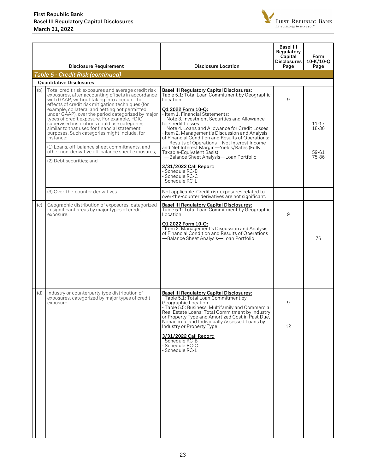

|     | <b>Disclosure Requirement</b>                                                                                                                                                                                                                                                                                     | <b>Disclosure Location</b>                                                                                                                                                                                                                                                                                                                                 | <b>Basel III</b><br>Regulatory<br>Capital<br><b>Disclosures</b><br>Page | Form<br>10-K/10-Q<br>Page |
|-----|-------------------------------------------------------------------------------------------------------------------------------------------------------------------------------------------------------------------------------------------------------------------------------------------------------------------|------------------------------------------------------------------------------------------------------------------------------------------------------------------------------------------------------------------------------------------------------------------------------------------------------------------------------------------------------------|-------------------------------------------------------------------------|---------------------------|
|     | Table 5 - Credit Risk (continued)                                                                                                                                                                                                                                                                                 |                                                                                                                                                                                                                                                                                                                                                            |                                                                         |                           |
|     | <b>Ouantitative Disclosures</b>                                                                                                                                                                                                                                                                                   |                                                                                                                                                                                                                                                                                                                                                            |                                                                         |                           |
| (b) | Total credit risk exposures and average credit risk<br>exposures, after accounting offsets in accordance<br>with GAAP, without taking into account the<br>effects of credit risk mitigation techniques (for<br>example, collateral and netting not permitted<br>under GAAP), over the period categorized by major | <b>Basel III Regulatory Capital Disclosures:</b><br>Table 5.1: Total Loan Commitment by Geographic<br>Location<br>Q1 2022 Form 10-Q:<br>- Item 1. Financial Statements:                                                                                                                                                                                    | 9                                                                       |                           |
|     | types of credit exposure. For example, FDIC-<br>supervised institutions could use categories<br>similar to that used for financial statement<br>purposes. Such categories might include, for<br>instance:                                                                                                         | Note 3. Investment Securities and Allowance<br>for Credit Losses<br>Note 4. Loans and Allowance for Credit Losses<br>- Item 2. Management's Discussion and Analysis<br>of Financial Condition and Results of Operations:<br>-Results of Operations-Net Interest Income                                                                                     |                                                                         | $11 - 17$<br>18-30        |
|     | (1) Loans, off-balance sheet commitments, and<br>other non-derivative off-balance sheet exposures;                                                                                                                                                                                                                | and Net Interest Margin-Yields/Rates (Fully<br>Taxable-Equivalent Basis)<br>-Balance Sheet Analysis-Loan Portfolio                                                                                                                                                                                                                                         |                                                                         | 59-61<br>75-86            |
|     | (2) Debt securities; and                                                                                                                                                                                                                                                                                          | 3/31/2022 Call Report:<br>- Schedule RC-B<br>- Schedule RC-C<br>- Schedule RC-L                                                                                                                                                                                                                                                                            |                                                                         |                           |
|     | (3) Over-the-counter derivatives.                                                                                                                                                                                                                                                                                 | Not applicable. Credit risk exposures related to<br>over-the-counter derivatives are not significant.                                                                                                                                                                                                                                                      |                                                                         |                           |
| (c) | Geographic distribution of exposures, categorized<br>in significant areas by major types of credit<br>exposure.                                                                                                                                                                                                   | <b>Basel III Regulatory Capital Disclosures:</b><br>Table 5.1: Total Loan Commitment by Geographic<br>Location<br>Q1 2022 Form 10-Q:<br>- Item 2. Management's Discussion and Analysis                                                                                                                                                                     | 9                                                                       |                           |
|     |                                                                                                                                                                                                                                                                                                                   | of Financial Condition and Results of Operations<br>-Balance Sheet Analysis-Loan Portfolio                                                                                                                                                                                                                                                                 |                                                                         | 76                        |
| (d) | Industry or counterparty type distribution of<br>exposures, categorized by major types of credit<br>exposure.                                                                                                                                                                                                     | <b>Basel III Regulatory Capital Disclosures:</b><br>- Table 5.1: Total Loan Commitment by<br>Geographic Location<br>- Table 5.5: Business, Multifamily and Commercial<br>Real Estate Loans: Total Commitment by Industry<br>or Property Type and Amortized Cost in Past Due,<br>Nonaccrual and Individually Assessed Loans by<br>Industry or Property Type | 9<br>12                                                                 |                           |
|     |                                                                                                                                                                                                                                                                                                                   | 3/31/2022 Call Report:<br>- Schedule RC-B<br>- Schedule RC-C<br>- Schedule RC-L                                                                                                                                                                                                                                                                            |                                                                         |                           |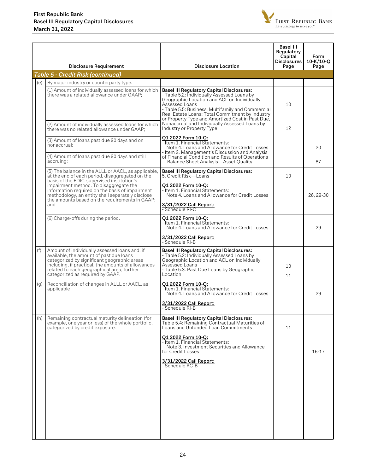

|     |     | <b>Disclosure Requirement</b>                                                                                                                                                                                                                                                                                                                                                                                                    | <b>Disclosure Location</b>                                                                                                                                                                                                                                             | <b>Basel III</b><br>Regulatory<br>Capital<br><b>Disclosures</b><br>Page | Form<br>$10-K/10-O$<br>Page |
|-----|-----|----------------------------------------------------------------------------------------------------------------------------------------------------------------------------------------------------------------------------------------------------------------------------------------------------------------------------------------------------------------------------------------------------------------------------------|------------------------------------------------------------------------------------------------------------------------------------------------------------------------------------------------------------------------------------------------------------------------|-------------------------------------------------------------------------|-----------------------------|
|     |     | Table 5 - Credit Risk (continued)                                                                                                                                                                                                                                                                                                                                                                                                |                                                                                                                                                                                                                                                                        |                                                                         |                             |
|     | (e) | By major industry or counterparty type:                                                                                                                                                                                                                                                                                                                                                                                          |                                                                                                                                                                                                                                                                        |                                                                         |                             |
|     |     | (1) Amount of individually assessed loans for which<br><b>Basel III Regulatory Capital Disclosures:</b><br>there was a related allowance under GAAP;<br>- Table 5.2: Individually Assessed Loans by<br>Geographic Location and ACL on Individually<br>Assessed Loans<br>- Table 5.5: Business, Multifamily and Commercial<br>Real Estate Loans: Total Commitment by Industry<br>or Property Type and Amortized Cost in Past Due, |                                                                                                                                                                                                                                                                        |                                                                         |                             |
|     |     | (2) Amount of individually assessed loans for which<br>there was no related allowance under GAAP;                                                                                                                                                                                                                                                                                                                                | Nonaccrual and Individually Assessed Loans by<br>Industry or Property Type                                                                                                                                                                                             | 12                                                                      |                             |
|     |     | (3) Amount of loans past due 90 days and on<br>nonaccrual;                                                                                                                                                                                                                                                                                                                                                                       | Q1 2022 Form 10-Q:<br>- Item 1. Financial Statements:<br>Note 4. Loans and Allowance for Credit Losses                                                                                                                                                                 |                                                                         | 20                          |
|     |     | (4) Amount of loans past due 90 days and still<br>accruing:                                                                                                                                                                                                                                                                                                                                                                      | - Item 2. Management's Discussion and Analysis<br>of Financial Condition and Results of Operations<br>-Balance Sheet Analysis-Asset Quality                                                                                                                            |                                                                         | 87                          |
|     |     | (5) The balance in the ALLL or AACL, as applicable,<br>at the end of each period, disaggregated on the<br>basis of the FDIC-supervised institution's<br>impairment method. To disaggregate the<br>information required on the basis of impairment<br>methodology, an entity shall separately disclose                                                                                                                            | <b>Basel III Regulatory Capital Disclosures:</b><br>5. Credit Risk-Loans<br>01 2022 Form 10-O:<br>- Item 1. Financial Statements:<br>Note 4. Loans and Allowance for Credit Losses                                                                                     | 10                                                                      | 26, 29-30                   |
|     |     | the amounts based on the requirements in GAAP;<br>and                                                                                                                                                                                                                                                                                                                                                                            | 3/31/2022 Call Report:<br>- Schedule RI-C                                                                                                                                                                                                                              |                                                                         |                             |
|     |     | (6) Charge-offs during the period.                                                                                                                                                                                                                                                                                                                                                                                               | 01 2022 Form 10-Q:<br>- Item 1. Financial Statements:<br>Note 4. Loans and Allowance for Credit Losses                                                                                                                                                                 |                                                                         | 29                          |
|     |     |                                                                                                                                                                                                                                                                                                                                                                                                                                  | 3/31/2022 Call Report:<br>- Schedule RI-B                                                                                                                                                                                                                              |                                                                         |                             |
| (f) |     | Amount of individually assessed loans and, if<br>available, the amount of past due loans<br>categorized by significant geographic areas<br>including, if practical, the amounts of allowances<br>related to each geographical area, further<br>categorized as required by GAAP.                                                                                                                                                  | <b>Basel III Regulatory Capital Disclosures:</b><br>- Table 5.2: Individually Assessed Loans by<br>Geographic Location and ACL on Individually<br>Assessed Loans<br>- Table 5.3: Past Due Loans by Geographic<br>Location                                              | 10<br>11                                                                |                             |
|     | (g) | Reconciliation of changes in ALLL or AACL, as<br>applicable                                                                                                                                                                                                                                                                                                                                                                      | Q1 2022 Form 10-Q:<br>- Item 1. Financial Statements:<br>Note 4. Loans and Allowance for Credit Losses                                                                                                                                                                 |                                                                         | 29                          |
|     |     |                                                                                                                                                                                                                                                                                                                                                                                                                                  | 3/31/2022 Call Report:<br>- Schedule RI-B                                                                                                                                                                                                                              |                                                                         |                             |
|     | (h) | Remaining contractual maturity delineation (for<br>example, one year or less) of the whole portfolio,<br>categorized by credit exposure.                                                                                                                                                                                                                                                                                         | <b>Basel III Regulatory Capital Disclosures:</b><br>Table 5.4: Remaining Contractual Maturities of<br>Loans and Unfunded Loan Commitments<br>Q1 2022 Form 10-Q:<br>- Item 1. Financial Statements:<br>Note 3. Investment Securities and Allowance<br>for Credit Losses | 11                                                                      | 16-17                       |
|     |     |                                                                                                                                                                                                                                                                                                                                                                                                                                  | 3/31/2022 Call Report:<br>- Schedule RC-B                                                                                                                                                                                                                              |                                                                         |                             |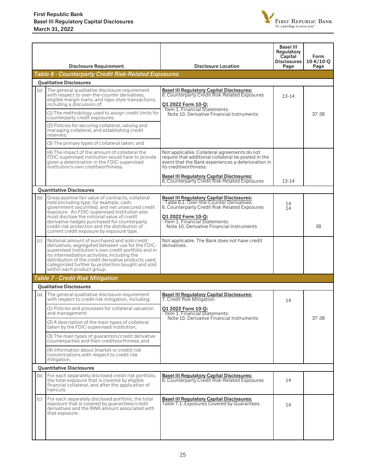

|     | <b>Disclosure Requirement</b>                                                                                                                                                                                                                                                                                                                                                                    | <b>Disclosure Location</b>                                                                                                                                                                                                                           | <b>Basel III</b><br>Regulatory<br>Capital<br><b>Disclosures</b><br>Page | Form<br>$10-K/10-O$<br>Page |
|-----|--------------------------------------------------------------------------------------------------------------------------------------------------------------------------------------------------------------------------------------------------------------------------------------------------------------------------------------------------------------------------------------------------|------------------------------------------------------------------------------------------------------------------------------------------------------------------------------------------------------------------------------------------------------|-------------------------------------------------------------------------|-----------------------------|
|     | Table 6 - Counterparty Credit Risk-Related Exposures                                                                                                                                                                                                                                                                                                                                             |                                                                                                                                                                                                                                                      |                                                                         |                             |
|     | <b>Qualitative Disclosures</b>                                                                                                                                                                                                                                                                                                                                                                   |                                                                                                                                                                                                                                                      |                                                                         |                             |
| (a) | The general qualitative disclosure requirement<br>with respect to over-the-counter derivatives,<br>eligible margin loans, and repo-style transactions,<br>including a discussion of:                                                                                                                                                                                                             | <b>Basel III Regulatory Capital Disclosures:</b><br>6. Counterparty Credit Risk-Related Exposures<br>01 2022 Form 10-O:                                                                                                                              | 13-14                                                                   |                             |
|     | (1) The methodology used to assign credit limits for<br>counterparty credit exposures;                                                                                                                                                                                                                                                                                                           | - Item 1. Financial Statements:<br>Note 10. Derivative Financial Instruments                                                                                                                                                                         |                                                                         | 37-38                       |
|     | (2) Policies for securing collateral, valuing and<br>managing collateral, and establishing credit<br>reserves;                                                                                                                                                                                                                                                                                   |                                                                                                                                                                                                                                                      |                                                                         |                             |
|     | (3) The primary types of collateral taken; and                                                                                                                                                                                                                                                                                                                                                   |                                                                                                                                                                                                                                                      |                                                                         |                             |
|     | (4) The impact of the amount of collateral the<br>FDIC-supervised institution would have to provide<br>given a deterioration in the FDIC-supervised<br>institution's own creditworthiness.                                                                                                                                                                                                       | Not applicable. Collateral agreements do not<br>require that additional collateral be posted in the<br>event that the Bank experiences a deterioration in<br>its creditworthiness.                                                                   |                                                                         |                             |
|     |                                                                                                                                                                                                                                                                                                                                                                                                  | <b>Basel III Regulatory Capital Disclosures:</b><br>6. Counterparty Credit Risk-Related Exposures                                                                                                                                                    | 13-14                                                                   |                             |
|     | <b>Quantitative Disclosures</b>                                                                                                                                                                                                                                                                                                                                                                  |                                                                                                                                                                                                                                                      |                                                                         |                             |
| (b) | Gross positive fair value of contracts, collateral<br>held (including type, for example, cash,<br>government securities), and net unsecured credit<br>exposure. An FDIC-supervised institution also<br>must disclose the notional value of credit<br>derivative hedges purchased for counterparty<br>credit risk protection and the distribution of<br>current credit exposure by exposure type. | <b>Basel III Regulatory Capital Disclosures:</b><br>- Table 6.1: Over-the-Counter Derivatives<br>6. Counterparty Credit Risk-Related Exposures<br>Q1 2022 Form 10-Q:<br>- Item 1. Financial Statements:<br>Note 10. Derivative Financial Instruments | 14<br>14                                                                | 38                          |
| (c) | Notional amount of purchased and sold credit<br>derivatives, segregated between use for the FDIC-<br>supervised institution's own credit portfolio and in<br>its intermediation activities, including the<br>distribution of the credit derivative products used.<br>categorized further by protection bought and sold<br>within each product group.                                             | Not applicable. The Bank does not have credit<br>derivatives.                                                                                                                                                                                        |                                                                         |                             |
|     | <b>Table 7 - Credit Risk Mitigation</b>                                                                                                                                                                                                                                                                                                                                                          |                                                                                                                                                                                                                                                      |                                                                         |                             |
|     | <b>Qualitative Disclosures</b>                                                                                                                                                                                                                                                                                                                                                                   |                                                                                                                                                                                                                                                      |                                                                         |                             |
| (a) | The general qualitative disclosure requirement<br>with respect to credit risk mitigation, including:                                                                                                                                                                                                                                                                                             | <b>Basel III Regulatory Capital Disclosures:</b><br>7. Credit Risk Mitigation                                                                                                                                                                        | 14                                                                      |                             |
|     | (1) Policies and processes for collateral valuation<br>and management;                                                                                                                                                                                                                                                                                                                           | Q1 2022 Form 10-Q:<br>- Item 1. Financial Statements:<br>Note 10. Derivative Financial Instruments                                                                                                                                                   |                                                                         | 37-38                       |
|     | (2) A description of the main types of collateral<br>taken by the FDIC-supervised institution;                                                                                                                                                                                                                                                                                                   |                                                                                                                                                                                                                                                      |                                                                         |                             |
|     | (3) The main types of guarantors/credit derivative<br>counterparties and their creditworthiness: and                                                                                                                                                                                                                                                                                             |                                                                                                                                                                                                                                                      |                                                                         |                             |
|     | (4) Information about (market or credit) risk<br>concentrations with respect to credit risk<br>mitigation.                                                                                                                                                                                                                                                                                       |                                                                                                                                                                                                                                                      |                                                                         |                             |
|     | <b>Ouantitative Disclosures</b>                                                                                                                                                                                                                                                                                                                                                                  |                                                                                                                                                                                                                                                      |                                                                         |                             |
| (b) | For each separately disclosed credit risk portfolio,<br>the total exposure that is covered by eligible<br>financial collateral, and after the application of<br>haircuts.                                                                                                                                                                                                                        | <b>Basel III Requiatory Capital Disclosures:</b><br>6. Counterparty Credit Risk-Related Exposures                                                                                                                                                    | 14                                                                      |                             |
| (c) | For each separately disclosed portfolio, the total<br>exposure that is covered by guarantees/credit<br>derivatives and the RWA amount associated with<br>that exposure.                                                                                                                                                                                                                          | <b>Basel III Regulatory Capital Disclosures:</b><br>Table 7.1: Exposures Covered by Guarantees                                                                                                                                                       | 14                                                                      |                             |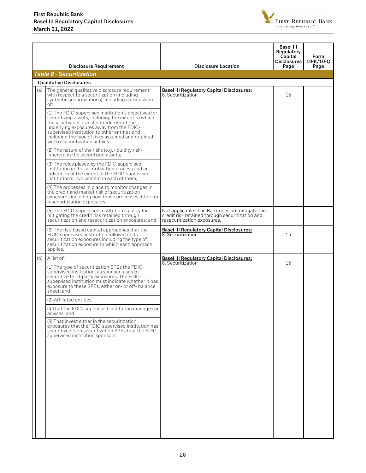

|     | <b>Disclosure Requirement</b>                                                                                                                                                                                                                                                                                                                 | <b>Disclosure Location</b>                                                                                                       | Basel III<br>Regulatory<br>Capital<br><b>Disclosures</b><br>Page | <b>Form</b><br>$10-K/10-O$<br>Page |
|-----|-----------------------------------------------------------------------------------------------------------------------------------------------------------------------------------------------------------------------------------------------------------------------------------------------------------------------------------------------|----------------------------------------------------------------------------------------------------------------------------------|------------------------------------------------------------------|------------------------------------|
|     | <b>Table 8 - Securitization</b>                                                                                                                                                                                                                                                                                                               |                                                                                                                                  |                                                                  |                                    |
|     | <b>Oualitative Disclosures</b>                                                                                                                                                                                                                                                                                                                |                                                                                                                                  |                                                                  |                                    |
| (a) | The general qualitative disclosure requirement<br>with respect to a securitization (including<br>synthetic securitizations), including a discussion<br>of:                                                                                                                                                                                    | <b>Basel III Regulatory Capital Disclosures:</b><br>8. Securitization                                                            | 15                                                               |                                    |
|     | (1) The FDIC-supervised institution's objectives for<br>securitizing assets, including the extent to which<br>these activities transfer credit risk of the<br>underlying exposures away from the FDIC-<br>supervised institution to other entities and<br>including the type of risks assumed and retained<br>with resecuritization activity; |                                                                                                                                  |                                                                  |                                    |
|     | (2) The nature of the risks (e.g. liquidity risk)<br>inherent in the securitized assets;                                                                                                                                                                                                                                                      |                                                                                                                                  |                                                                  |                                    |
|     | (3) The roles played by the FDIC-supervised<br>institution in the securitization process and an<br>indication of the extent of the FDIC-supervised<br>institution's involvement in each of them;                                                                                                                                              |                                                                                                                                  |                                                                  |                                    |
|     | (4) The processes in place to monitor changes in<br>the credit and market risk of securitization<br>exposures including how those processes differ for<br>resecuritization exposures;                                                                                                                                                         |                                                                                                                                  |                                                                  |                                    |
|     | (5) The FDIC-supervised institution's policy for<br>mitigating the credit risk retained through<br>securitization and resecuritization exposures; and                                                                                                                                                                                         | Not applicable. The Bank does not mitigate the<br>credit risk retained through securitization and<br>resecuritization exposures. |                                                                  |                                    |
|     | (6) The risk-based capital approaches that the<br>FDIC-supervised institution follows for its<br>securitization exposures including the type of<br>securitization exposure to which each approach<br>applies.                                                                                                                                 | <b>Basel III Regulatory Capital Disclosures:</b><br>8. Securitization                                                            | 15                                                               |                                    |
| (b) | A list of:                                                                                                                                                                                                                                                                                                                                    | <b>Basel III Regulatory Capital Disclosures:</b>                                                                                 |                                                                  |                                    |
|     | (1) The type of securitization SPEs the FDIC-<br>supervised institution, as sponsor, uses to<br>securitize third-party exposures. The FDIC-<br>supervised institution must indicate whether it has<br>exposure to these SPEs, either on- or off-balance<br>sheet; and                                                                         | 8. Securitization                                                                                                                | 15                                                               |                                    |
|     | (2) Affiliated entities:                                                                                                                                                                                                                                                                                                                      |                                                                                                                                  |                                                                  |                                    |
|     | (i) That the FDIC-supervised institution manages or<br>advises; and                                                                                                                                                                                                                                                                           |                                                                                                                                  |                                                                  |                                    |
|     | (ii) That invest either in the securitization<br>exposures that the FDIC-supervised institution has<br>securitized or in securitization SPEs that the FDIC-<br>supervised institution sponsors.                                                                                                                                               |                                                                                                                                  |                                                                  |                                    |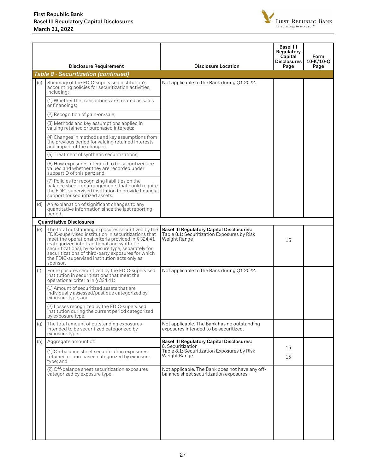

|     | <b>Disclosure Requirement</b>                                                                                                                                                                                                                                                                                                                                                          | <b>Disclosure Location</b>                                                                                      | Basel III<br>Regulatory<br>Capital<br><b>Disclosures</b><br>Page | Form<br>10-K/10-Q<br>Page |
|-----|----------------------------------------------------------------------------------------------------------------------------------------------------------------------------------------------------------------------------------------------------------------------------------------------------------------------------------------------------------------------------------------|-----------------------------------------------------------------------------------------------------------------|------------------------------------------------------------------|---------------------------|
|     | <b>Table 8 - Securitization (continued)</b>                                                                                                                                                                                                                                                                                                                                            |                                                                                                                 |                                                                  |                           |
| (c) | Summary of the FDIC-supervised institution's<br>accounting policies for securitization activities,<br>including:                                                                                                                                                                                                                                                                       | Not applicable to the Bank during Q1 2022.                                                                      |                                                                  |                           |
|     | (1) Whether the transactions are treated as sales<br>or financings;                                                                                                                                                                                                                                                                                                                    |                                                                                                                 |                                                                  |                           |
|     | (2) Recognition of gain-on-sale;                                                                                                                                                                                                                                                                                                                                                       |                                                                                                                 |                                                                  |                           |
|     | (3) Methods and key assumptions applied in<br>valuing retained or purchased interests;                                                                                                                                                                                                                                                                                                 |                                                                                                                 |                                                                  |                           |
|     | (4) Changes in methods and key assumptions from<br>the previous period for valuing retained interests<br>and impact of the changes;                                                                                                                                                                                                                                                    |                                                                                                                 |                                                                  |                           |
|     | (5) Treatment of synthetic securitizations;                                                                                                                                                                                                                                                                                                                                            |                                                                                                                 |                                                                  |                           |
|     | (6) How exposures intended to be securitized are<br>valued and whether they are recorded under<br>subpart D of this part; and                                                                                                                                                                                                                                                          |                                                                                                                 |                                                                  |                           |
|     | (7) Policies for recognizing liabilities on the<br>balance sheet for arrangements that could require<br>the FDIC-supervised institution to provide financial<br>support for securitized assets.                                                                                                                                                                                        |                                                                                                                 |                                                                  |                           |
| (d) | An explanation of significant changes to any<br>quantitative information since the last reporting<br>period.                                                                                                                                                                                                                                                                           |                                                                                                                 |                                                                  |                           |
|     | <b>Quantitative Disclosures</b>                                                                                                                                                                                                                                                                                                                                                        |                                                                                                                 |                                                                  |                           |
| (e) | The total outstanding exposures securitized by the<br>FDIC-supervised institution in securitizations that<br>meet the operational criteria provided in § 324.41<br>(categorized into traditional and synthetic<br>securitizations), by exposure type, separately for<br>securitizations of third-party exposures for which<br>the FDIC-supervised institution acts only as<br>sponsor. | <b>Basel III Regulatory Capital Disclosures:</b><br>Table 8.1: Securitization Exposures by Risk<br>Weight Range | 15                                                               |                           |
| (f) | For exposures securitized by the FDIC-supervised<br>institution in securitizations that meet the<br>operational criteria in § 324.41:                                                                                                                                                                                                                                                  | Not applicable to the Bank during Q1 2022.                                                                      |                                                                  |                           |
|     | (1) Amount of securitized assets that are<br>individually assessed/past due categorized by<br>exposure type; and                                                                                                                                                                                                                                                                       |                                                                                                                 |                                                                  |                           |
|     | (2) Losses recognized by the FDIC-supervised<br>institution during the current period categorized<br>by exposure type.                                                                                                                                                                                                                                                                 |                                                                                                                 |                                                                  |                           |
| (q) | The total amount of outstanding exposures<br>intended to be securitized categorized by<br>exposure type.                                                                                                                                                                                                                                                                               | Not applicable. The Bank has no outstanding<br>exposures intended to be securitized.                            |                                                                  |                           |
| (h) | Aggregate amount of:                                                                                                                                                                                                                                                                                                                                                                   | <b>Basel III Regulatory Capital Disclosures:</b><br>8. Securitization                                           |                                                                  |                           |
|     | (1) On-balance sheet securitization exposures<br>retained or purchased categorized by exposure<br>type; and                                                                                                                                                                                                                                                                            | Table 8.1: Securitization Exposures by Risk<br>Weight Range                                                     | 15<br>15                                                         |                           |
|     | (2) Off-balance sheet securitization exposures<br>categorized by exposure type.                                                                                                                                                                                                                                                                                                        | Not applicable. The Bank does not have any off-<br>balance sheet securitization exposures.                      |                                                                  |                           |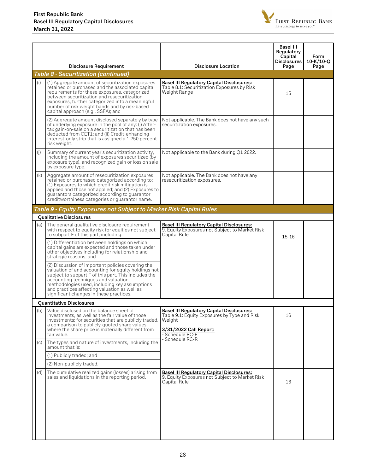

|  |     | <b>Disclosure Requirement</b>                                                                                                                                                                                                                                                                                                                       | <b>Disclosure Location</b>                                                                                                                              | <b>Basel III</b><br>Regulatory<br>Capital<br><b>Disclosures</b><br>Page | Form<br>$10-K/10-O$<br>Page |
|--|-----|-----------------------------------------------------------------------------------------------------------------------------------------------------------------------------------------------------------------------------------------------------------------------------------------------------------------------------------------------------|---------------------------------------------------------------------------------------------------------------------------------------------------------|-------------------------------------------------------------------------|-----------------------------|
|  |     | <b>Table 8 - Securitization (continued)</b>                                                                                                                                                                                                                                                                                                         |                                                                                                                                                         |                                                                         |                             |
|  | (i) | (1) Aggregate amount of securitization exposures<br>retained or purchased and the associated capital<br>requirements for these exposures, categorized<br>between securitization and resecuritization<br>exposures, further categorized into a meaningful<br>number of risk weight bands and by risk-based<br>capital approach (e.g., SSFA); and     | <b>Basel III Requiatory Capital Disclosures:</b><br>Table 8.1: Securitization Exposures by Risk<br>Weight Range                                         | 15                                                                      |                             |
|  |     | (2) Aggregate amount disclosed separately by type<br>of underlying exposure in the pool of any: (i) After-<br>tax gain-on-sale on a securitization that has been<br>deducted from CET1; and (ii) Credit-enhancing<br>interest-only strip that is assigned a 1,250 percent<br>risk weight.                                                           | Not applicable. The Bank does not have any such<br>securitization exposures.                                                                            |                                                                         |                             |
|  | (i) | Summary of current year's securitization activity,<br>including the amount of exposures securitized (by<br>exposure type), and recognized gain or loss on sale<br>by exposure type.                                                                                                                                                                 | Not applicable to the Bank during Q1 2022.                                                                                                              |                                                                         |                             |
|  | (k) | Aggregate amount of resecuritization exposures<br>retained or purchased categorized according to:<br>(1) Exposures to which credit risk mitigation is<br>applied and those not applied; and (2) Exposures to<br>quarantors categorized according to quarantor<br>creditworthiness categories or guarantor name.                                     | Not applicable. The Bank does not have any<br>resecuritization exposures.                                                                               |                                                                         |                             |
|  |     | Table 9 - Equity Exposures not Subject to Market Risk Capital Rules                                                                                                                                                                                                                                                                                 |                                                                                                                                                         |                                                                         |                             |
|  |     | <b>Oualitative Disclosures</b>                                                                                                                                                                                                                                                                                                                      |                                                                                                                                                         |                                                                         |                             |
|  | (a) | The general qualitative disclosure requirement<br>with respect to equity risk for equities not subject<br>to subpart F of this part, including:                                                                                                                                                                                                     | <b>Basel III Regulatory Capital Disclosures:</b><br>9. Equity Exposures not Subject to Market Risk<br>Capital Rule                                      | $15 - 16$                                                               |                             |
|  |     | (1) Differentiation between holdings on which<br>capital gains are expected and those taken under<br>other objectives including for relationship and<br>strategic reasons; and                                                                                                                                                                      |                                                                                                                                                         |                                                                         |                             |
|  |     | (2) Discussion of important policies covering the<br>valuation of and accounting for equity holdings not<br>subject to subpart F of this part. This includes the<br>accounting techniques and valuation<br>methodologies used, including key assumptions<br>and practices affecting valuation as well as<br>significant changes in these practices. |                                                                                                                                                         |                                                                         |                             |
|  |     | <b>Quantitative Disclosures</b>                                                                                                                                                                                                                                                                                                                     |                                                                                                                                                         |                                                                         |                             |
|  | (b) | Value disclosed on the balance sheet of<br>investments, as well as the fair value of those<br>investments; for securities that are publicly traded.<br>a comparison to publicly-quoted share values<br>where the share price is materially different from<br>fair value.                                                                            | <b>Basel III Regulatory Capital Disclosures:</b><br>Table 9.1: Equity Exposures by Type and Risk<br>Weight<br>3/31/2022 Call Report:<br>- Schedule RC-F | 16                                                                      |                             |
|  | (c) | The types and nature of investments, including the<br>amount that is:                                                                                                                                                                                                                                                                               | - Schedule RC-R                                                                                                                                         |                                                                         |                             |
|  |     | (1) Publicly traded; and                                                                                                                                                                                                                                                                                                                            |                                                                                                                                                         |                                                                         |                             |
|  |     | (2) Non-publicly traded.                                                                                                                                                                                                                                                                                                                            |                                                                                                                                                         |                                                                         |                             |
|  | (d) | The cumulative realized gains (losses) arising from<br>sales and liquidations in the reporting period.                                                                                                                                                                                                                                              | <b>Basel III Requiatory Capital Disclosures:</b><br>9. Equity Exposures not Subject to Market Risk<br>Capital Rule                                      | 16                                                                      |                             |
|  |     |                                                                                                                                                                                                                                                                                                                                                     |                                                                                                                                                         |                                                                         |                             |